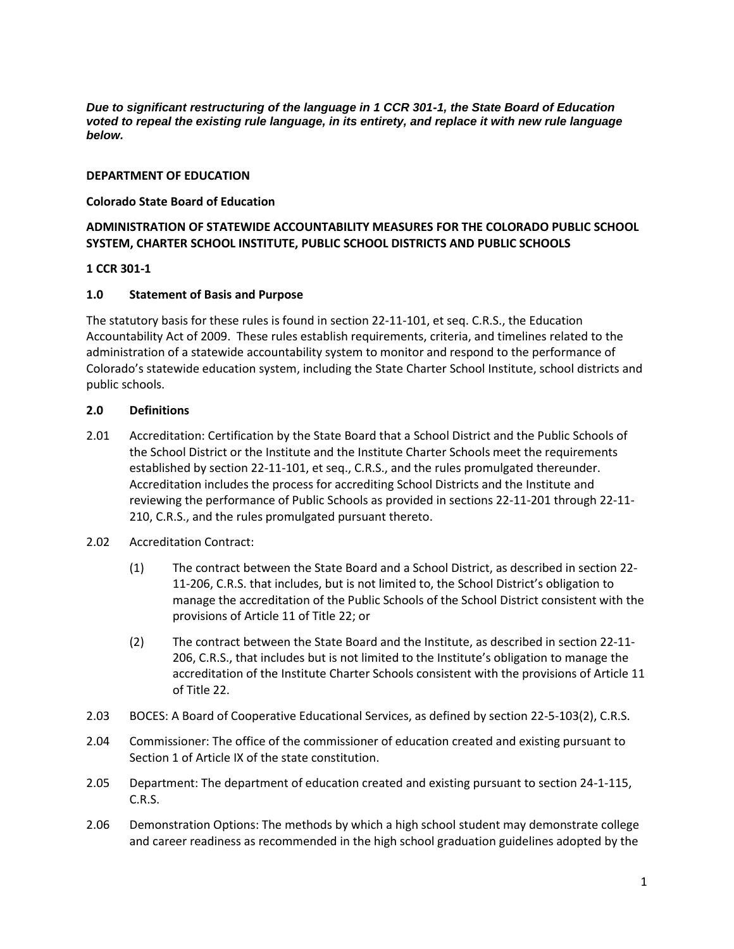*Due to significant restructuring of the language in 1 CCR 301-1, the State Board of Education voted to repeal the existing rule language, in its entirety, and replace it with new rule language below.*

## **DEPARTMENT OF EDUCATION**

## **Colorado State Board of Education**

# **ADMINISTRATION OF STATEWIDE ACCOUNTABILITY MEASURES FOR THE COLORADO PUBLIC SCHOOL SYSTEM, CHARTER SCHOOL INSTITUTE, PUBLIC SCHOOL DISTRICTS AND PUBLIC SCHOOLS**

## **1 CCR 301-1**

## **1.0 Statement of Basis and Purpose**

The statutory basis for these rules is found in section 22-11-101, et seq. C.R.S., the Education Accountability Act of 2009. These rules establish requirements, criteria, and timelines related to the administration of a statewide accountability system to monitor and respond to the performance of Colorado's statewide education system, including the State Charter School Institute, school districts and public schools.

## **2.0 Definitions**

- 2.01 Accreditation: Certification by the State Board that a School District and the Public Schools of the School District or the Institute and the Institute Charter Schools meet the requirements established by section 22-11-101, et seq., C.R.S., and the rules promulgated thereunder. Accreditation includes the process for accrediting School Districts and the Institute and reviewing the performance of Public Schools as provided in sections 22-11-201 through 22-11- 210, C.R.S., and the rules promulgated pursuant thereto.
- 2.02 Accreditation Contract:
	- (1) The contract between the State Board and a School District, as described in section 22- 11-206, C.R.S. that includes, but is not limited to, the School District's obligation to manage the accreditation of the Public Schools of the School District consistent with the provisions of Article 11 of Title 22; or
	- (2) The contract between the State Board and the Institute, as described in section 22-11- 206, C.R.S., that includes but is not limited to the Institute's obligation to manage the accreditation of the Institute Charter Schools consistent with the provisions of Article 11 of Title 22.
- 2.03 BOCES: A Board of Cooperative Educational Services, as defined by section 22-5-103(2), C.R.S.
- 2.04 Commissioner: The office of the commissioner of education created and existing pursuant to Section 1 of Article IX of the state constitution.
- 2.05 Department: The department of education created and existing pursuant to section 24-1-115, C.R.S.
- 2.06 Demonstration Options: The methods by which a high school student may demonstrate college and career readiness as recommended in the high school graduation guidelines adopted by the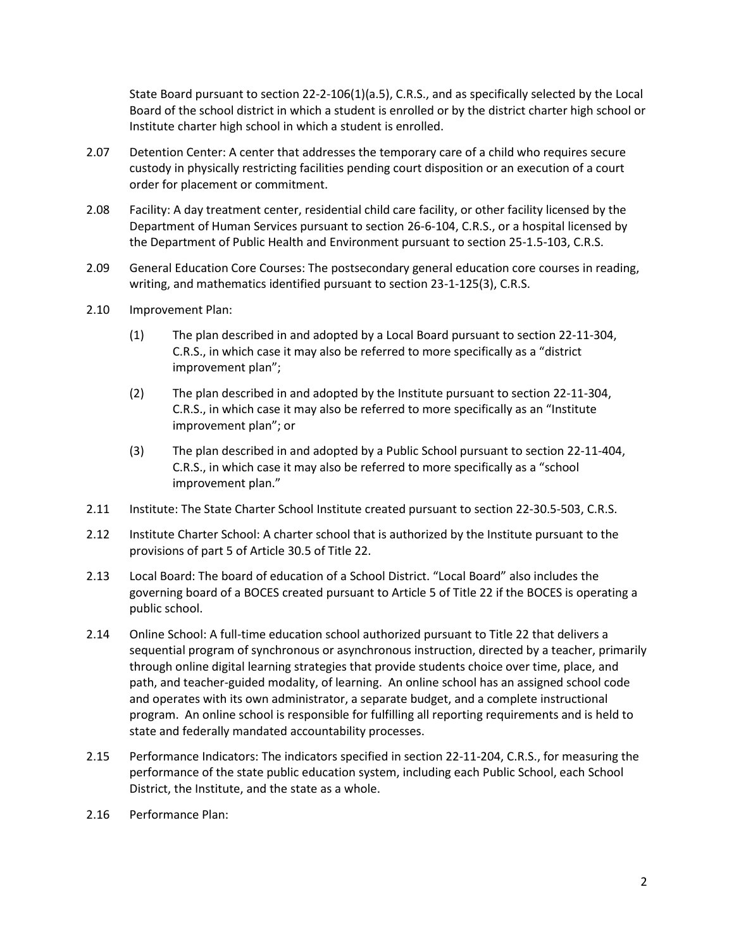State Board pursuant to section 22-2-106(1)(a.5), C.R.S., and as specifically selected by the Local Board of the school district in which a student is enrolled or by the district charter high school or Institute charter high school in which a student is enrolled.

- 2.07 Detention Center: A center that addresses the temporary care of a child who requires secure custody in physically restricting facilities pending court disposition or an execution of a court order for placement or commitment.
- 2.08 Facility: A day treatment center, residential child care facility, or other facility licensed by the Department of Human Services pursuant to section 26-6-104, C.R.S., or a hospital licensed by the Department of Public Health and Environment pursuant to section 25-1.5-103, C.R.S.
- 2.09 General Education Core Courses: The postsecondary general education core courses in reading, writing, and mathematics identified pursuant to section 23-1-125(3), C.R.S.
- 2.10 Improvement Plan:
	- (1) The plan described in and adopted by a Local Board pursuant to section 22-11-304, C.R.S., in which case it may also be referred to more specifically as a "district improvement plan";
	- (2) The plan described in and adopted by the Institute pursuant to section 22-11-304, C.R.S., in which case it may also be referred to more specifically as an "Institute improvement plan"; or
	- (3) The plan described in and adopted by a Public School pursuant to section 22-11-404, C.R.S., in which case it may also be referred to more specifically as a "school improvement plan."
- 2.11 Institute: The State Charter School Institute created pursuant to section 22-30.5-503, C.R.S.
- 2.12 Institute Charter School: A charter school that is authorized by the Institute pursuant to the provisions of part 5 of Article 30.5 of Title 22.
- 2.13 Local Board: The board of education of a School District. "Local Board" also includes the governing board of a BOCES created pursuant to Article 5 of Title 22 if the BOCES is operating a public school.
- 2.14 Online School: A full-time education school authorized pursuant to Title 22 that delivers a sequential program of synchronous or asynchronous instruction, directed by a teacher, primarily through online digital learning strategies that provide students choice over time, place, and path, and teacher-guided modality, of learning. An online school has an assigned school code and operates with its own administrator, a separate budget, and a complete instructional program. An online school is responsible for fulfilling all reporting requirements and is held to state and federally mandated accountability processes.
- 2.15 Performance Indicators: The indicators specified in section 22-11-204, C.R.S., for measuring the performance of the state public education system, including each Public School, each School District, the Institute, and the state as a whole.
- 2.16 Performance Plan: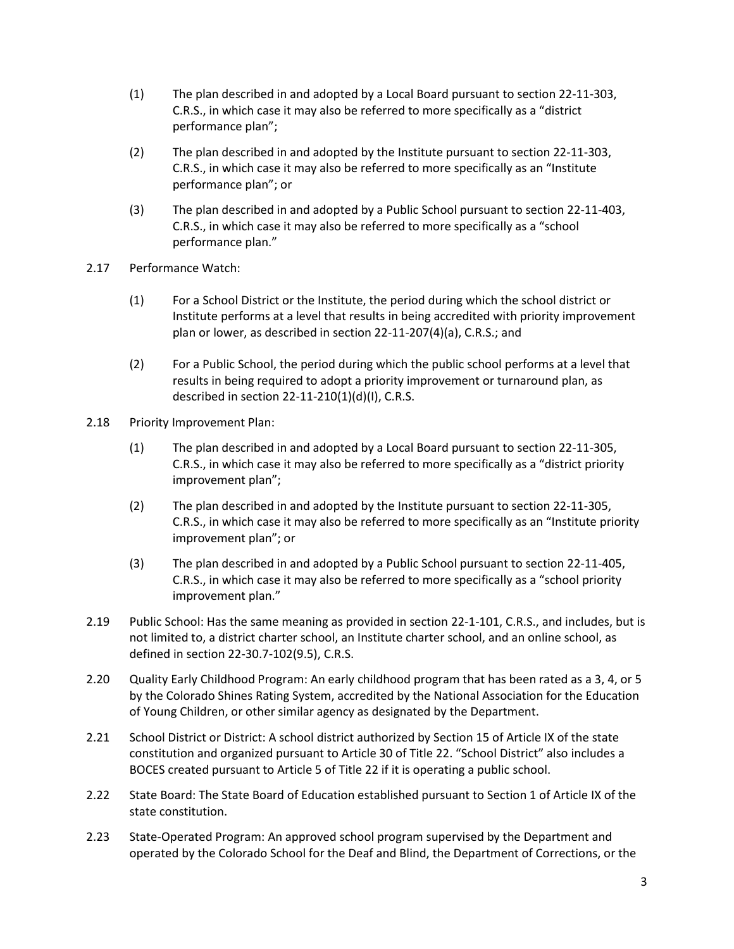- (1) The plan described in and adopted by a Local Board pursuant to section 22-11-303, C.R.S., in which case it may also be referred to more specifically as a "district performance plan";
- (2) The plan described in and adopted by the Institute pursuant to section 22-11-303, C.R.S., in which case it may also be referred to more specifically as an "Institute performance plan"; or
- (3) The plan described in and adopted by a Public School pursuant to section 22-11-403, C.R.S., in which case it may also be referred to more specifically as a "school performance plan."
- 2.17 Performance Watch:
	- (1) For a School District or the Institute, the period during which the school district or Institute performs at a level that results in being accredited with priority improvement plan or lower, as described in section 22-11-207(4)(a), C.R.S.; and
	- (2) For a Public School, the period during which the public school performs at a level that results in being required to adopt a priority improvement or turnaround plan, as described in section 22-11-210(1)(d)(I), C.R.S.
- 2.18 Priority Improvement Plan:
	- (1) The plan described in and adopted by a Local Board pursuant to section 22-11-305, C.R.S., in which case it may also be referred to more specifically as a "district priority improvement plan";
	- (2) The plan described in and adopted by the Institute pursuant to section 22-11-305, C.R.S., in which case it may also be referred to more specifically as an "Institute priority improvement plan"; or
	- (3) The plan described in and adopted by a Public School pursuant to section 22-11-405, C.R.S., in which case it may also be referred to more specifically as a "school priority improvement plan."
- 2.19 Public School: Has the same meaning as provided in section 22-1-101, C.R.S., and includes, but is not limited to, a district charter school, an Institute charter school, and an online school, as defined in section 22-30.7-102(9.5), C.R.S.
- 2.20 Quality Early Childhood Program: An early childhood program that has been rated as a 3, 4, or 5 by the Colorado Shines Rating System, accredited by the National Association for the Education of Young Children, or other similar agency as designated by the Department.
- 2.21 School District or District: A school district authorized by Section 15 of Article IX of the state constitution and organized pursuant to Article 30 of Title 22. "School District" also includes a BOCES created pursuant to Article 5 of Title 22 if it is operating a public school.
- 2.22 State Board: The State Board of Education established pursuant to Section 1 of Article IX of the state constitution.
- 2.23 State-Operated Program: An approved school program supervised by the Department and operated by the Colorado School for the Deaf and Blind, the Department of Corrections, or the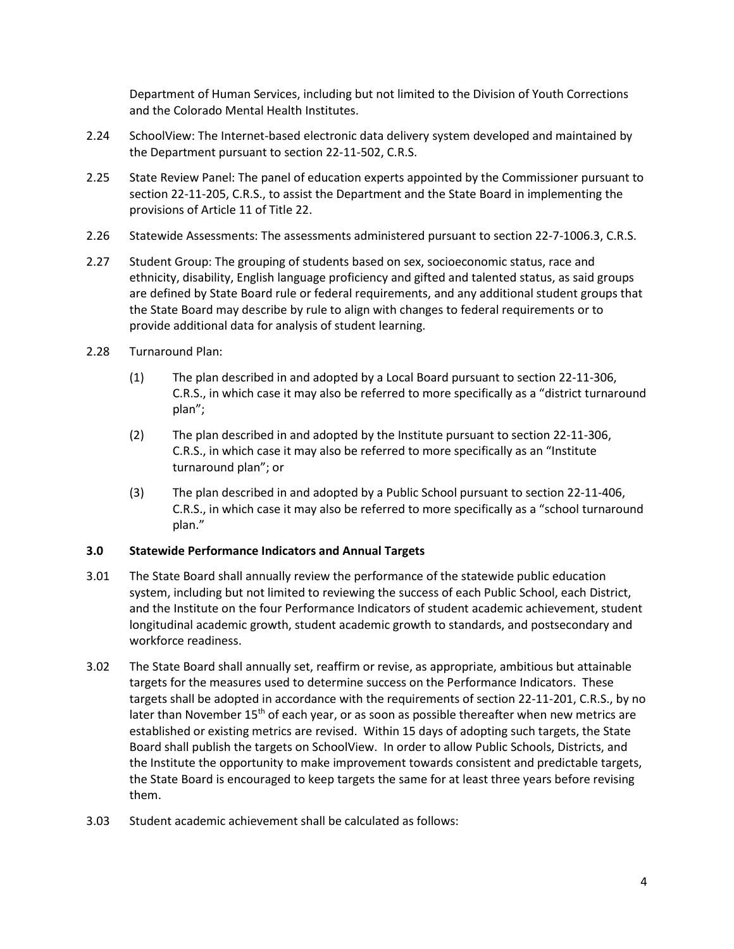Department of Human Services, including but not limited to the Division of Youth Corrections and the Colorado Mental Health Institutes.

- 2.24 SchoolView: The Internet-based electronic data delivery system developed and maintained by the Department pursuant to section 22-11-502, C.R.S.
- 2.25 State Review Panel: The panel of education experts appointed by the Commissioner pursuant to section 22-11-205, C.R.S., to assist the Department and the State Board in implementing the provisions of Article 11 of Title 22.
- 2.26 Statewide Assessments: The assessments administered pursuant to section 22-7-1006.3, C.R.S.
- 2.27 Student Group: The grouping of students based on sex, socioeconomic status, race and ethnicity, disability, English language proficiency and gifted and talented status, as said groups are defined by State Board rule or federal requirements, and any additional student groups that the State Board may describe by rule to align with changes to federal requirements or to provide additional data for analysis of student learning.
- 2.28 Turnaround Plan:
	- (1) The plan described in and adopted by a Local Board pursuant to section 22-11-306, C.R.S., in which case it may also be referred to more specifically as a "district turnaround plan";
	- (2) The plan described in and adopted by the Institute pursuant to section 22-11-306, C.R.S., in which case it may also be referred to more specifically as an "Institute turnaround plan"; or
	- (3) The plan described in and adopted by a Public School pursuant to section 22-11-406, C.R.S., in which case it may also be referred to more specifically as a "school turnaround plan."

# **3.0 Statewide Performance Indicators and Annual Targets**

- 3.01 The State Board shall annually review the performance of the statewide public education system, including but not limited to reviewing the success of each Public School, each District, and the Institute on the four Performance Indicators of student academic achievement, student longitudinal academic growth, student academic growth to standards, and postsecondary and workforce readiness.
- 3.02 The State Board shall annually set, reaffirm or revise, as appropriate, ambitious but attainable targets for the measures used to determine success on the Performance Indicators. These targets shall be adopted in accordance with the requirements of section 22-11-201, C.R.S., by no later than November  $15<sup>th</sup>$  of each year, or as soon as possible thereafter when new metrics are established or existing metrics are revised. Within 15 days of adopting such targets, the State Board shall publish the targets on SchoolView. In order to allow Public Schools, Districts, and the Institute the opportunity to make improvement towards consistent and predictable targets, the State Board is encouraged to keep targets the same for at least three years before revising them.
- 3.03 Student academic achievement shall be calculated as follows: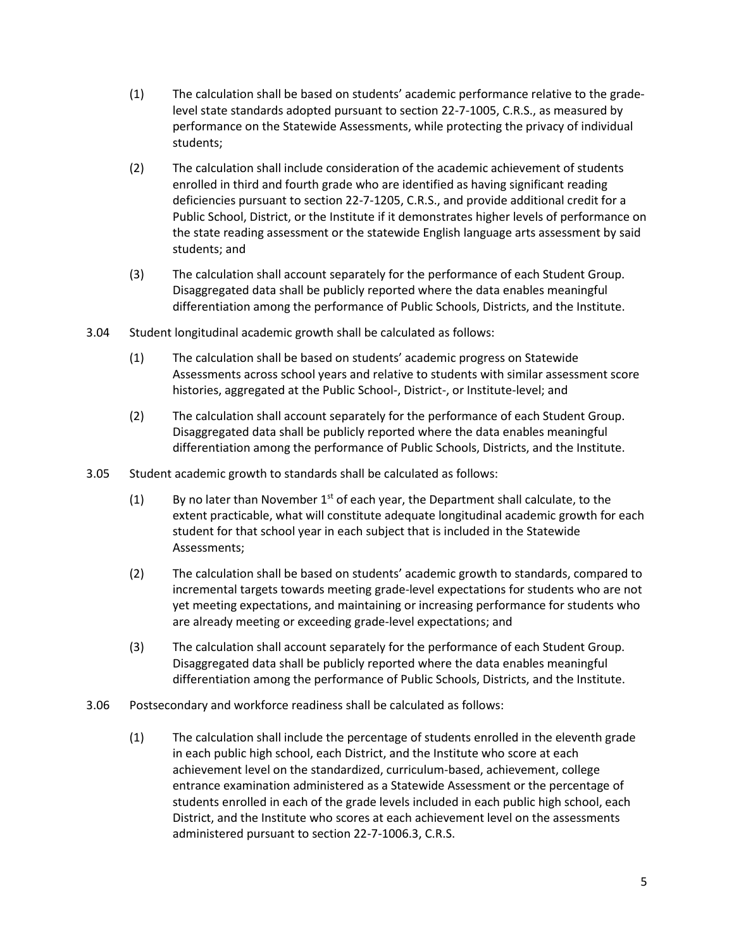- (1) The calculation shall be based on students' academic performance relative to the gradelevel state standards adopted pursuant to section 22-7-1005, C.R.S., as measured by performance on the Statewide Assessments, while protecting the privacy of individual students;
- (2) The calculation shall include consideration of the academic achievement of students enrolled in third and fourth grade who are identified as having significant reading deficiencies pursuant to section 22-7-1205, C.R.S., and provide additional credit for a Public School, District, or the Institute if it demonstrates higher levels of performance on the state reading assessment or the statewide English language arts assessment by said students; and
- (3) The calculation shall account separately for the performance of each Student Group. Disaggregated data shall be publicly reported where the data enables meaningful differentiation among the performance of Public Schools, Districts, and the Institute.
- 3.04 Student longitudinal academic growth shall be calculated as follows:
	- (1) The calculation shall be based on students' academic progress on Statewide Assessments across school years and relative to students with similar assessment score histories, aggregated at the Public School-, District-, or Institute-level; and
	- (2) The calculation shall account separately for the performance of each Student Group. Disaggregated data shall be publicly reported where the data enables meaningful differentiation among the performance of Public Schools, Districts, and the Institute.
- 3.05 Student academic growth to standards shall be calculated as follows:
	- $(1)$  By no later than November 1<sup>st</sup> of each year, the Department shall calculate, to the extent practicable, what will constitute adequate longitudinal academic growth for each student for that school year in each subject that is included in the Statewide Assessments;
	- (2) The calculation shall be based on students' academic growth to standards, compared to incremental targets towards meeting grade-level expectations for students who are not yet meeting expectations, and maintaining or increasing performance for students who are already meeting or exceeding grade-level expectations; and
	- (3) The calculation shall account separately for the performance of each Student Group. Disaggregated data shall be publicly reported where the data enables meaningful differentiation among the performance of Public Schools, Districts, and the Institute.
- 3.06 Postsecondary and workforce readiness shall be calculated as follows:
	- (1) The calculation shall include the percentage of students enrolled in the eleventh grade in each public high school, each District, and the Institute who score at each achievement level on the standardized, curriculum-based, achievement, college entrance examination administered as a Statewide Assessment or the percentage of students enrolled in each of the grade levels included in each public high school, each District, and the Institute who scores at each achievement level on the assessments administered pursuant to section 22-7-1006.3, C.R.S.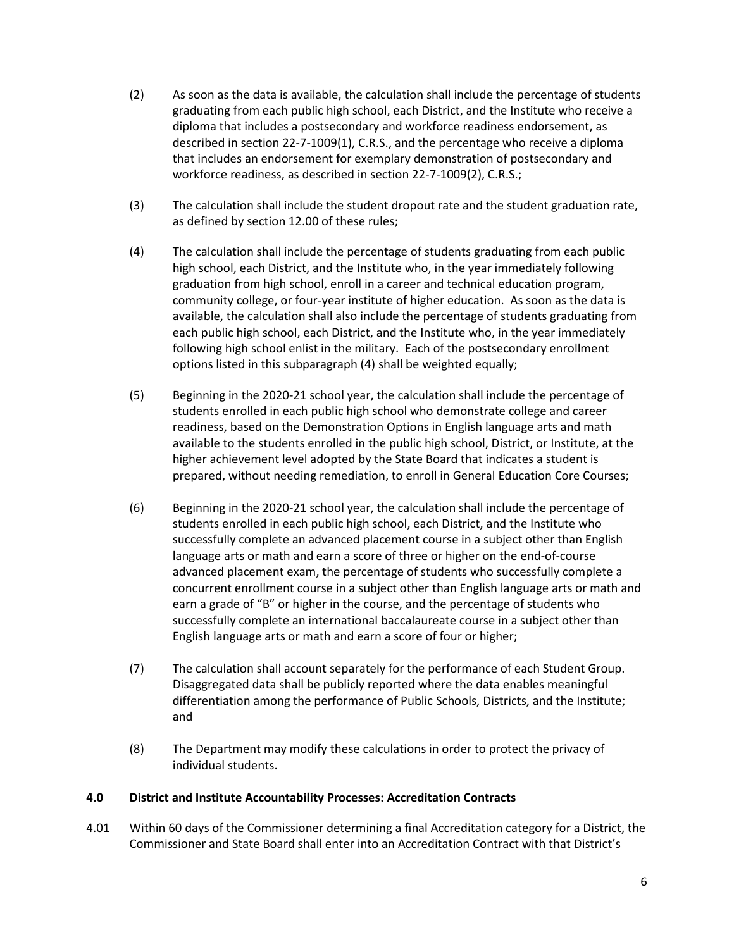- (2) As soon as the data is available, the calculation shall include the percentage of students graduating from each public high school, each District, and the Institute who receive a diploma that includes a postsecondary and workforce readiness endorsement, as described in section 22-7-1009(1), C.R.S., and the percentage who receive a diploma that includes an endorsement for exemplary demonstration of postsecondary and workforce readiness, as described in section 22-7-1009(2), C.R.S.;
- (3) The calculation shall include the student dropout rate and the student graduation rate, as defined by section 12.00 of these rules;
- (4) The calculation shall include the percentage of students graduating from each public high school, each District, and the Institute who, in the year immediately following graduation from high school, enroll in a career and technical education program, community college, or four-year institute of higher education. As soon as the data is available, the calculation shall also include the percentage of students graduating from each public high school, each District, and the Institute who, in the year immediately following high school enlist in the military. Each of the postsecondary enrollment options listed in this subparagraph (4) shall be weighted equally;
- (5) Beginning in the 2020-21 school year, the calculation shall include the percentage of students enrolled in each public high school who demonstrate college and career readiness, based on the Demonstration Options in English language arts and math available to the students enrolled in the public high school, District, or Institute, at the higher achievement level adopted by the State Board that indicates a student is prepared, without needing remediation, to enroll in General Education Core Courses;
- (6) Beginning in the 2020-21 school year, the calculation shall include the percentage of students enrolled in each public high school, each District, and the Institute who successfully complete an advanced placement course in a subject other than English language arts or math and earn a score of three or higher on the end-of-course advanced placement exam, the percentage of students who successfully complete a concurrent enrollment course in a subject other than English language arts or math and earn a grade of "B" or higher in the course, and the percentage of students who successfully complete an international baccalaureate course in a subject other than English language arts or math and earn a score of four or higher;
- (7) The calculation shall account separately for the performance of each Student Group. Disaggregated data shall be publicly reported where the data enables meaningful differentiation among the performance of Public Schools, Districts, and the Institute; and
- (8) The Department may modify these calculations in order to protect the privacy of individual students.

## **4.0 District and Institute Accountability Processes: Accreditation Contracts**

4.01 Within 60 days of the Commissioner determining a final Accreditation category for a District, the Commissioner and State Board shall enter into an Accreditation Contract with that District's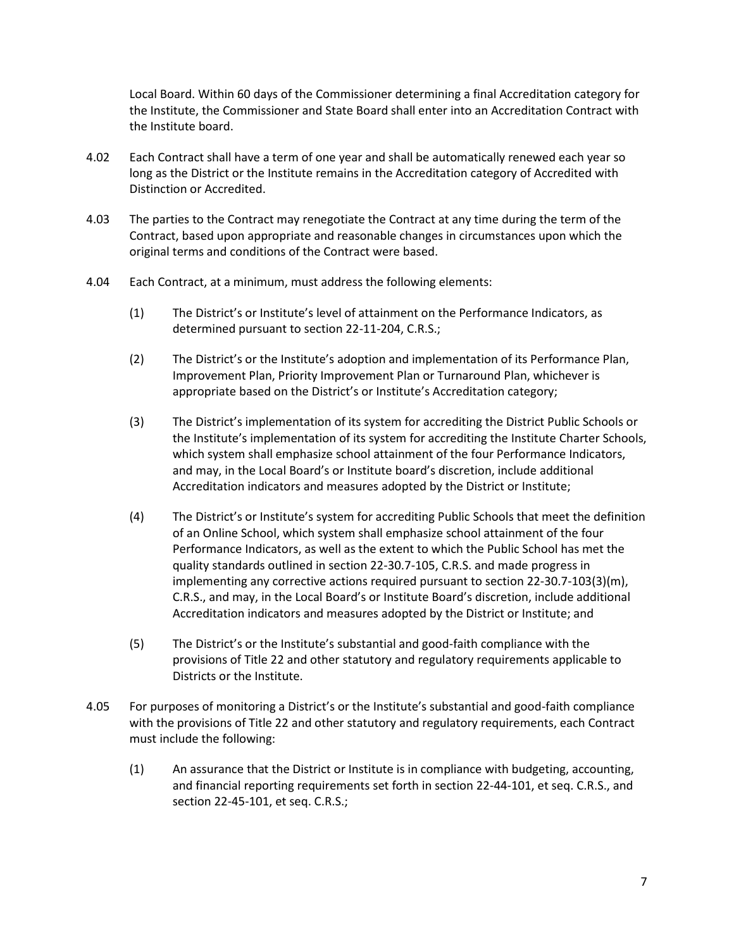Local Board. Within 60 days of the Commissioner determining a final Accreditation category for the Institute, the Commissioner and State Board shall enter into an Accreditation Contract with the Institute board.

- 4.02 Each Contract shall have a term of one year and shall be automatically renewed each year so long as the District or the Institute remains in the Accreditation category of Accredited with Distinction or Accredited.
- 4.03 The parties to the Contract may renegotiate the Contract at any time during the term of the Contract, based upon appropriate and reasonable changes in circumstances upon which the original terms and conditions of the Contract were based.
- 4.04 Each Contract, at a minimum, must address the following elements:
	- (1) The District's or Institute's level of attainment on the Performance Indicators, as determined pursuant to section 22-11-204, C.R.S.;
	- (2) The District's or the Institute's adoption and implementation of its Performance Plan, Improvement Plan, Priority Improvement Plan or Turnaround Plan, whichever is appropriate based on the District's or Institute's Accreditation category;
	- (3) The District's implementation of its system for accrediting the District Public Schools or the Institute's implementation of its system for accrediting the Institute Charter Schools, which system shall emphasize school attainment of the four Performance Indicators, and may, in the Local Board's or Institute board's discretion, include additional Accreditation indicators and measures adopted by the District or Institute;
	- (4) The District's or Institute's system for accrediting Public Schools that meet the definition of an Online School, which system shall emphasize school attainment of the four Performance Indicators, as well as the extent to which the Public School has met the quality standards outlined in section 22-30.7-105, C.R.S. and made progress in implementing any corrective actions required pursuant to section 22-30.7-103(3)(m), C.R.S., and may, in the Local Board's or Institute Board's discretion, include additional Accreditation indicators and measures adopted by the District or Institute; and
	- (5) The District's or the Institute's substantial and good-faith compliance with the provisions of Title 22 and other statutory and regulatory requirements applicable to Districts or the Institute.
- 4.05 For purposes of monitoring a District's or the Institute's substantial and good-faith compliance with the provisions of Title 22 and other statutory and regulatory requirements, each Contract must include the following:
	- (1) An assurance that the District or Institute is in compliance with budgeting, accounting, and financial reporting requirements set forth in section 22-44-101, et seq. C.R.S., and section 22-45-101, et seq. C.R.S.;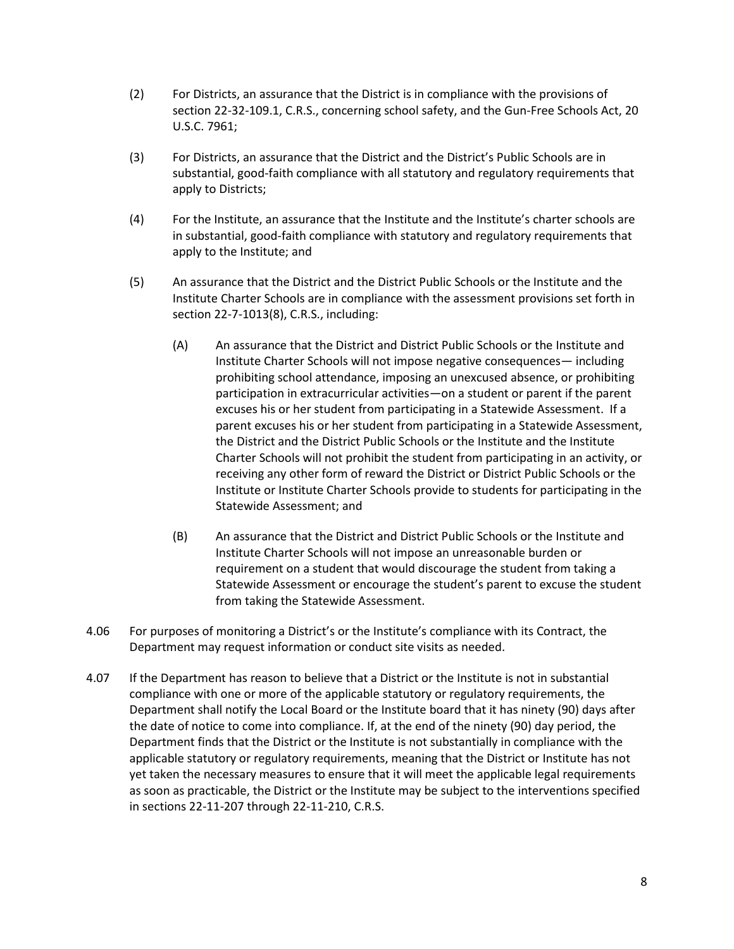- (2) For Districts, an assurance that the District is in compliance with the provisions of section 22-32-109.1, C.R.S., concerning school safety, and the Gun-Free Schools Act, 20 U.S.C. 7961;
- (3) For Districts, an assurance that the District and the District's Public Schools are in substantial, good-faith compliance with all statutory and regulatory requirements that apply to Districts;
- (4) For the Institute, an assurance that the Institute and the Institute's charter schools are in substantial, good-faith compliance with statutory and regulatory requirements that apply to the Institute; and
- (5) An assurance that the District and the District Public Schools or the Institute and the Institute Charter Schools are in compliance with the assessment provisions set forth in section 22-7-1013(8), C.R.S., including:
	- (A) An assurance that the District and District Public Schools or the Institute and Institute Charter Schools will not impose negative consequences— including prohibiting school attendance, imposing an unexcused absence, or prohibiting participation in extracurricular activities—on a student or parent if the parent excuses his or her student from participating in a Statewide Assessment. If a parent excuses his or her student from participating in a Statewide Assessment, the District and the District Public Schools or the Institute and the Institute Charter Schools will not prohibit the student from participating in an activity, or receiving any other form of reward the District or District Public Schools or the Institute or Institute Charter Schools provide to students for participating in the Statewide Assessment; and
	- (B) An assurance that the District and District Public Schools or the Institute and Institute Charter Schools will not impose an unreasonable burden or requirement on a student that would discourage the student from taking a Statewide Assessment or encourage the student's parent to excuse the student from taking the Statewide Assessment.
- 4.06 For purposes of monitoring a District's or the Institute's compliance with its Contract, the Department may request information or conduct site visits as needed.
- 4.07 If the Department has reason to believe that a District or the Institute is not in substantial compliance with one or more of the applicable statutory or regulatory requirements, the Department shall notify the Local Board or the Institute board that it has ninety (90) days after the date of notice to come into compliance. If, at the end of the ninety (90) day period, the Department finds that the District or the Institute is not substantially in compliance with the applicable statutory or regulatory requirements, meaning that the District or Institute has not yet taken the necessary measures to ensure that it will meet the applicable legal requirements as soon as practicable, the District or the Institute may be subject to the interventions specified in sections 22-11-207 through 22-11-210, C.R.S.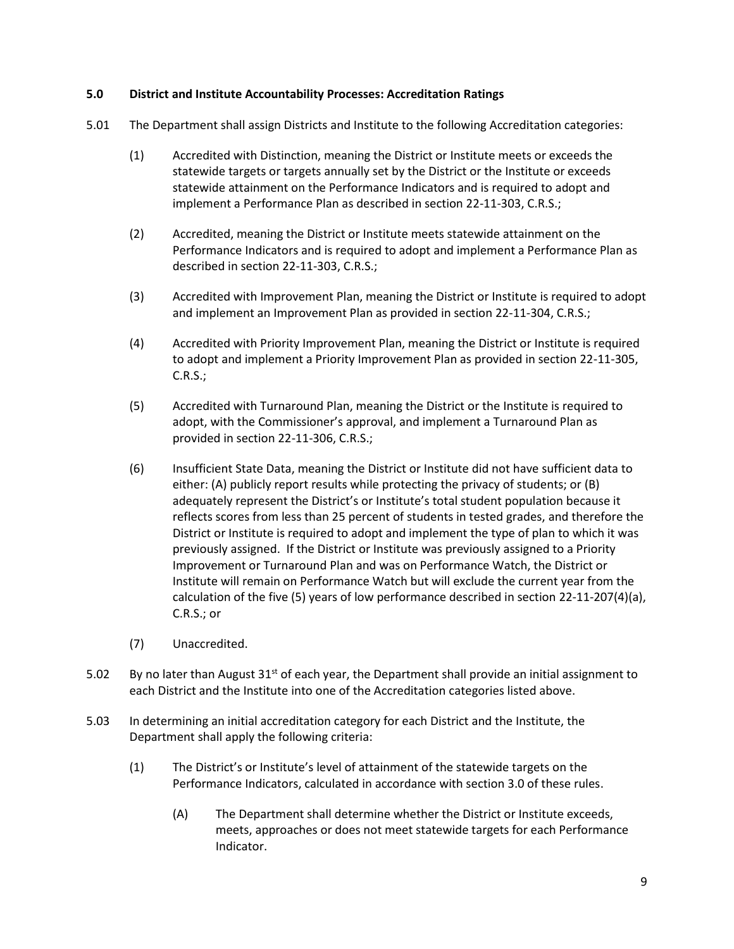## **5.0 District and Institute Accountability Processes: Accreditation Ratings**

- 5.01 The Department shall assign Districts and Institute to the following Accreditation categories:
	- (1) Accredited with Distinction, meaning the District or Institute meets or exceeds the statewide targets or targets annually set by the District or the Institute or exceeds statewide attainment on the Performance Indicators and is required to adopt and implement a Performance Plan as described in section 22-11-303, C.R.S.;
	- (2) Accredited, meaning the District or Institute meets statewide attainment on the Performance Indicators and is required to adopt and implement a Performance Plan as described in section 22-11-303, C.R.S.;
	- (3) Accredited with Improvement Plan, meaning the District or Institute is required to adopt and implement an Improvement Plan as provided in section 22-11-304, C.R.S.;
	- (4) Accredited with Priority Improvement Plan, meaning the District or Institute is required to adopt and implement a Priority Improvement Plan as provided in section 22-11-305, C.R.S.;
	- (5) Accredited with Turnaround Plan, meaning the District or the Institute is required to adopt, with the Commissioner's approval, and implement a Turnaround Plan as provided in section 22-11-306, C.R.S.;
	- (6) Insufficient State Data, meaning the District or Institute did not have sufficient data to either: (A) publicly report results while protecting the privacy of students; or (B) adequately represent the District's or Institute's total student population because it reflects scores from less than 25 percent of students in tested grades, and therefore the District or Institute is required to adopt and implement the type of plan to which it was previously assigned. If the District or Institute was previously assigned to a Priority Improvement or Turnaround Plan and was on Performance Watch, the District or Institute will remain on Performance Watch but will exclude the current year from the calculation of the five (5) years of low performance described in section 22-11-207(4)(a), C.R.S.; or
	- (7) Unaccredited.
- 5.02 By no later than August  $31<sup>st</sup>$  of each year, the Department shall provide an initial assignment to each District and the Institute into one of the Accreditation categories listed above.
- 5.03 In determining an initial accreditation category for each District and the Institute, the Department shall apply the following criteria:
	- (1) The District's or Institute's level of attainment of the statewide targets on the Performance Indicators, calculated in accordance with section 3.0 of these rules.
		- (A) The Department shall determine whether the District or Institute exceeds, meets, approaches or does not meet statewide targets for each Performance Indicator.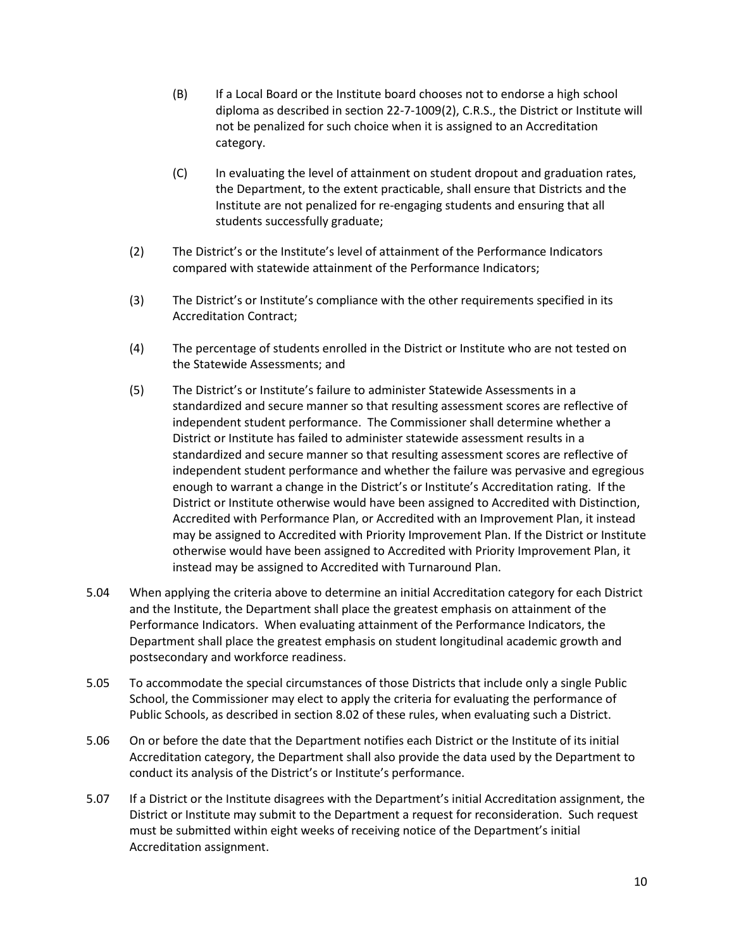- (B) If a Local Board or the Institute board chooses not to endorse a high school diploma as described in section 22-7-1009(2), C.R.S., the District or Institute will not be penalized for such choice when it is assigned to an Accreditation category.
- (C) In evaluating the level of attainment on student dropout and graduation rates, the Department, to the extent practicable, shall ensure that Districts and the Institute are not penalized for re-engaging students and ensuring that all students successfully graduate;
- (2) The District's or the Institute's level of attainment of the Performance Indicators compared with statewide attainment of the Performance Indicators;
- (3) The District's or Institute's compliance with the other requirements specified in its Accreditation Contract;
- (4) The percentage of students enrolled in the District or Institute who are not tested on the Statewide Assessments; and
- (5) The District's or Institute's failure to administer Statewide Assessments in a standardized and secure manner so that resulting assessment scores are reflective of independent student performance. The Commissioner shall determine whether a District or Institute has failed to administer statewide assessment results in a standardized and secure manner so that resulting assessment scores are reflective of independent student performance and whether the failure was pervasive and egregious enough to warrant a change in the District's or Institute's Accreditation rating. If the District or Institute otherwise would have been assigned to Accredited with Distinction, Accredited with Performance Plan, or Accredited with an Improvement Plan, it instead may be assigned to Accredited with Priority Improvement Plan. If the District or Institute otherwise would have been assigned to Accredited with Priority Improvement Plan, it instead may be assigned to Accredited with Turnaround Plan.
- 5.04 When applying the criteria above to determine an initial Accreditation category for each District and the Institute, the Department shall place the greatest emphasis on attainment of the Performance Indicators. When evaluating attainment of the Performance Indicators, the Department shall place the greatest emphasis on student longitudinal academic growth and postsecondary and workforce readiness.
- 5.05 To accommodate the special circumstances of those Districts that include only a single Public School, the Commissioner may elect to apply the criteria for evaluating the performance of Public Schools, as described in section 8.02 of these rules, when evaluating such a District.
- 5.06 On or before the date that the Department notifies each District or the Institute of its initial Accreditation category, the Department shall also provide the data used by the Department to conduct its analysis of the District's or Institute's performance.
- 5.07 If a District or the Institute disagrees with the Department's initial Accreditation assignment, the District or Institute may submit to the Department a request for reconsideration. Such request must be submitted within eight weeks of receiving notice of the Department's initial Accreditation assignment.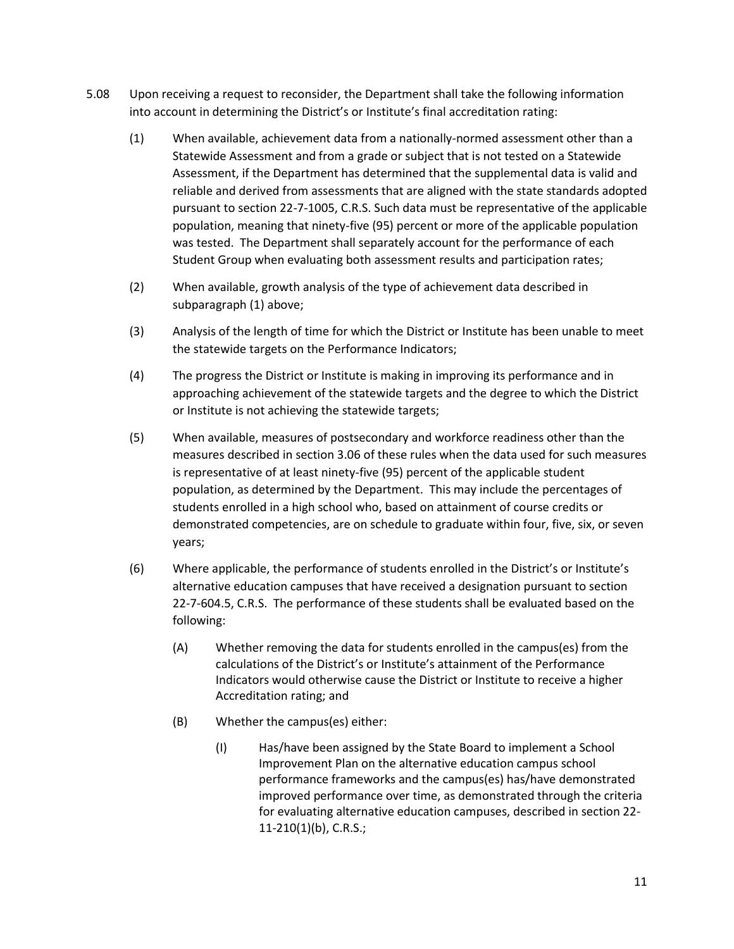- 5.08 Upon receiving a request to reconsider, the Department shall take the following information into account in determining the District's or Institute's final accreditation rating:
	- (1) When available, achievement data from a nationally-normed assessment other than a Statewide Assessment and from a grade or subject that is not tested on a Statewide Assessment, if the Department has determined that the supplemental data is valid and reliable and derived from assessments that are aligned with the state standards adopted pursuant to section 22-7-1005, C.R.S. Such data must be representative of the applicable population, meaning that ninety-five (95) percent or more of the applicable population was tested. The Department shall separately account for the performance of each Student Group when evaluating both assessment results and participation rates;
	- (2) When available, growth analysis of the type of achievement data described in subparagraph (1) above;
	- (3) Analysis of the length of time for which the District or Institute has been unable to meet the statewide targets on the Performance Indicators;
	- (4) The progress the District or Institute is making in improving its performance and in approaching achievement of the statewide targets and the degree to which the District or Institute is not achieving the statewide targets;
	- (5) When available, measures of postsecondary and workforce readiness other than the measures described in section 3.06 of these rules when the data used for such measures is representative of at least ninety-five (95) percent of the applicable student population, as determined by the Department. This may include the percentages of students enrolled in a high school who, based on attainment of course credits or demonstrated competencies, are on schedule to graduate within four, five, six, or seven years;
	- (6) Where applicable, the performance of students enrolled in the District's or Institute's alternative education campuses that have received a designation pursuant to section 22-7-604.5, C.R.S. The performance of these students shall be evaluated based on the following:
		- (A) Whether removing the data for students enrolled in the campus(es) from the calculations of the District's or Institute's attainment of the Performance Indicators would otherwise cause the District or Institute to receive a higher Accreditation rating; and
		- (B) Whether the campus(es) either:
			- (I) Has/have been assigned by the State Board to implement a School Improvement Plan on the alternative education campus school performance frameworks and the campus(es) has/have demonstrated improved performance over time, as demonstrated through the criteria for evaluating alternative education campuses, described in section 22- 11-210(1)(b), C.R.S.;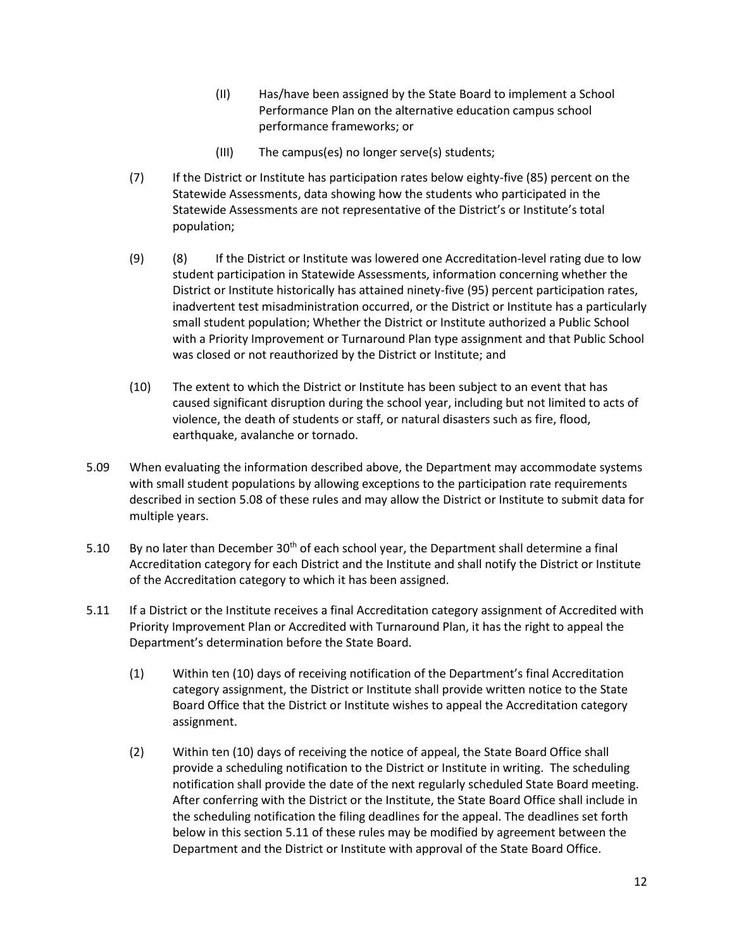- (II) Has/have been assigned by the State Board to implement a School Performance Plan on the alternative education campus school performance frameworks; or
- (III) The campus(es) no longer serve(s) students;
- (7) If the District or Institute has participation rates below eighty-five (85) percent on the Statewide Assessments, data showing how the students who participated in the Statewide Assessments are not representative of the District's or Institute's total population;
- (9) (8) If the District or Institute was lowered one Accreditation-level rating due to low student participation in Statewide Assessments, information concerning whether the District or Institute historically has attained ninety-five (95) percent participation rates, inadvertent test misadministration occurred, or the District or Institute has a particularly small student population; Whether the District or Institute authorized a Public School with a Priority Improvement or Turnaround Plan type assignment and that Public School was closed or not reauthorized by the District or Institute; and
- (10) The extent to which the District or Institute has been subject to an event that has caused significant disruption during the school year, including but not limited to acts of violence, the death of students or staff, or natural disasters such as fire, flood, earthquake, avalanche or tornado.
- 5.09 When evaluating the information described above, the Department may accommodate systems with small student populations by allowing exceptions to the participation rate requirements described in section 5.08 of these rules and may allow the District or Institute to submit data for multiple years.
- 5.10 By no later than December  $30<sup>th</sup>$  of each school year, the Department shall determine a final Accreditation category for each District and the Institute and shall notify the District or Institute of the Accreditation category to which it has been assigned.
- 5.11 If a District or the Institute receives a final Accreditation category assignment of Accredited with Priority Improvement Plan or Accredited with Turnaround Plan, it has the right to appeal the Department's determination before the State Board.
	- (1) Within ten (10) days of receiving notification of the Department's final Accreditation category assignment, the District or Institute shall provide written notice to the State Board Office that the District or Institute wishes to appeal the Accreditation category assignment.
	- (2) Within ten (10) days of receiving the notice of appeal, the State Board Office shall provide a scheduling notification to the District or Institute in writing. The scheduling notification shall provide the date of the next regularly scheduled State Board meeting. After conferring with the District or the Institute, the State Board Office shall include in the scheduling notification the filing deadlines for the appeal. The deadlines set forth below in this section 5.11 of these rules may be modified by agreement between the Department and the District or Institute with approval of the State Board Office.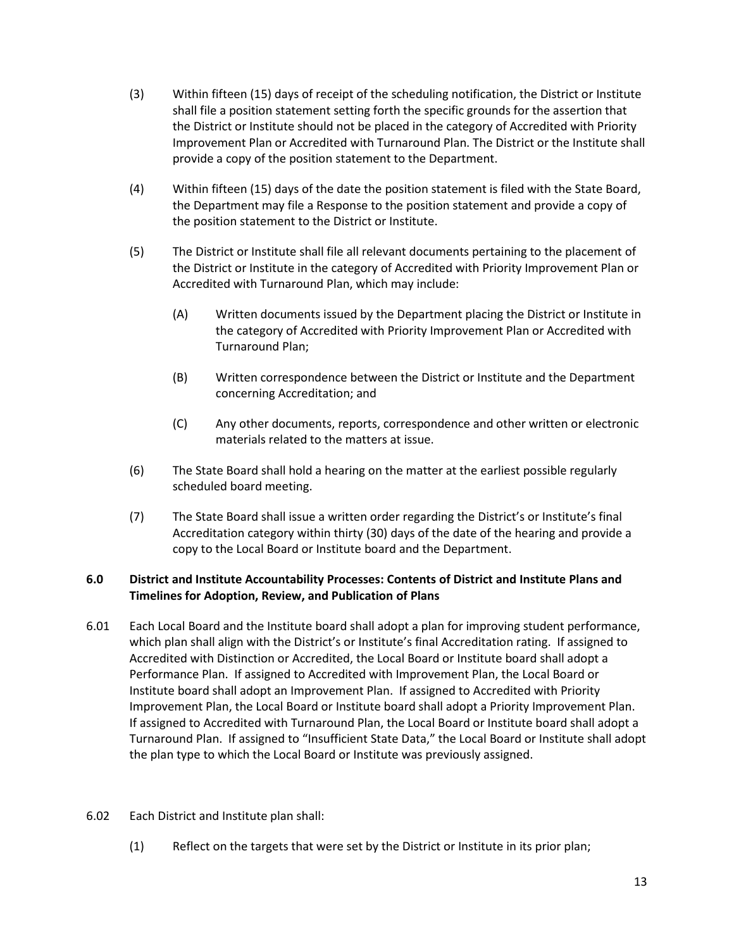- (3) Within fifteen (15) days of receipt of the scheduling notification, the District or Institute shall file a position statement setting forth the specific grounds for the assertion that the District or Institute should not be placed in the category of Accredited with Priority Improvement Plan or Accredited with Turnaround Plan. The District or the Institute shall provide a copy of the position statement to the Department.
- (4) Within fifteen (15) days of the date the position statement is filed with the State Board, the Department may file a Response to the position statement and provide a copy of the position statement to the District or Institute.
- (5) The District or Institute shall file all relevant documents pertaining to the placement of the District or Institute in the category of Accredited with Priority Improvement Plan or Accredited with Turnaround Plan, which may include:
	- (A) Written documents issued by the Department placing the District or Institute in the category of Accredited with Priority Improvement Plan or Accredited with Turnaround Plan;
	- (B) Written correspondence between the District or Institute and the Department concerning Accreditation; and
	- (C) Any other documents, reports, correspondence and other written or electronic materials related to the matters at issue.
- (6) The State Board shall hold a hearing on the matter at the earliest possible regularly scheduled board meeting.
- (7) The State Board shall issue a written order regarding the District's or Institute's final Accreditation category within thirty (30) days of the date of the hearing and provide a copy to the Local Board or Institute board and the Department.

# **6.0 District and Institute Accountability Processes: Contents of District and Institute Plans and Timelines for Adoption, Review, and Publication of Plans**

- 6.01 Each Local Board and the Institute board shall adopt a plan for improving student performance, which plan shall align with the District's or Institute's final Accreditation rating. If assigned to Accredited with Distinction or Accredited, the Local Board or Institute board shall adopt a Performance Plan. If assigned to Accredited with Improvement Plan, the Local Board or Institute board shall adopt an Improvement Plan. If assigned to Accredited with Priority Improvement Plan, the Local Board or Institute board shall adopt a Priority Improvement Plan. If assigned to Accredited with Turnaround Plan, the Local Board or Institute board shall adopt a Turnaround Plan. If assigned to "Insufficient State Data," the Local Board or Institute shall adopt the plan type to which the Local Board or Institute was previously assigned.
- 6.02 Each District and Institute plan shall:
	- (1) Reflect on the targets that were set by the District or Institute in its prior plan;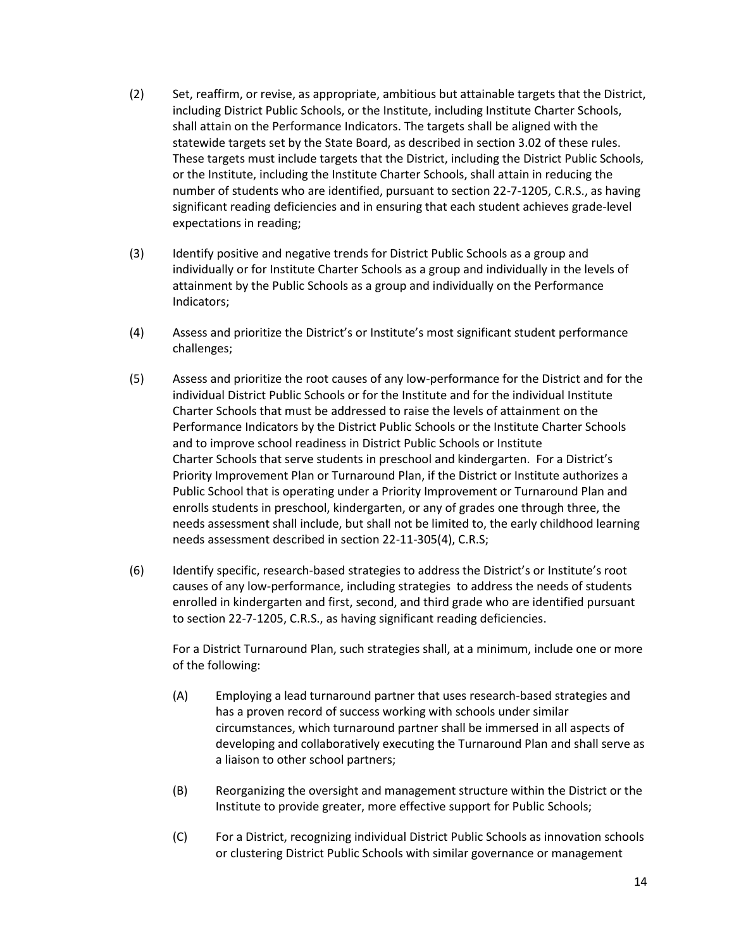- (2) Set, reaffirm, or revise, as appropriate, ambitious but attainable targets that the District, including District Public Schools, or the Institute, including Institute Charter Schools, shall attain on the Performance Indicators. The targets shall be aligned with the statewide targets set by the State Board, as described in section 3.02 of these rules. These targets must include targets that the District, including the District Public Schools, or the Institute, including the Institute Charter Schools, shall attain in reducing the number of students who are identified, pursuant to section 22-7-1205, C.R.S., as having significant reading deficiencies and in ensuring that each student achieves grade-level expectations in reading;
- (3) Identify positive and negative trends for District Public Schools as a group and individually or for Institute Charter Schools as a group and individually in the levels of attainment by the Public Schools as a group and individually on the Performance Indicators;
- (4) Assess and prioritize the District's or Institute's most significant student performance challenges;
- (5) Assess and prioritize the root causes of any low-performance for the District and for the individual District Public Schools or for the Institute and for the individual Institute Charter Schools that must be addressed to raise the levels of attainment on the Performance Indicators by the District Public Schools or the Institute Charter Schools and to improve school readiness in District Public Schools or Institute Charter Schools that serve students in preschool and kindergarten. For a District's Priority Improvement Plan or Turnaround Plan, if the District or Institute authorizes a Public School that is operating under a Priority Improvement or Turnaround Plan and enrolls students in preschool, kindergarten, or any of grades one through three, the needs assessment shall include, but shall not be limited to, the early childhood learning needs assessment described in section 22-11-305(4), C.R.S;
- (6) Identify specific, research-based strategies to address the District's or Institute's root causes of any low-performance, including strategies to address the needs of students enrolled in kindergarten and first, second, and third grade who are identified pursuant to section 22-7-1205, C.R.S., as having significant reading deficiencies.

For a District Turnaround Plan, such strategies shall, at a minimum, include one or more of the following:

- (A) Employing a lead turnaround partner that uses research-based strategies and has a proven record of success working with schools under similar circumstances, which turnaround partner shall be immersed in all aspects of developing and collaboratively executing the Turnaround Plan and shall serve as a liaison to other school partners;
- (B) Reorganizing the oversight and management structure within the District or the Institute to provide greater, more effective support for Public Schools;
- (C) For a District, recognizing individual District Public Schools as innovation schools or clustering District Public Schools with similar governance or management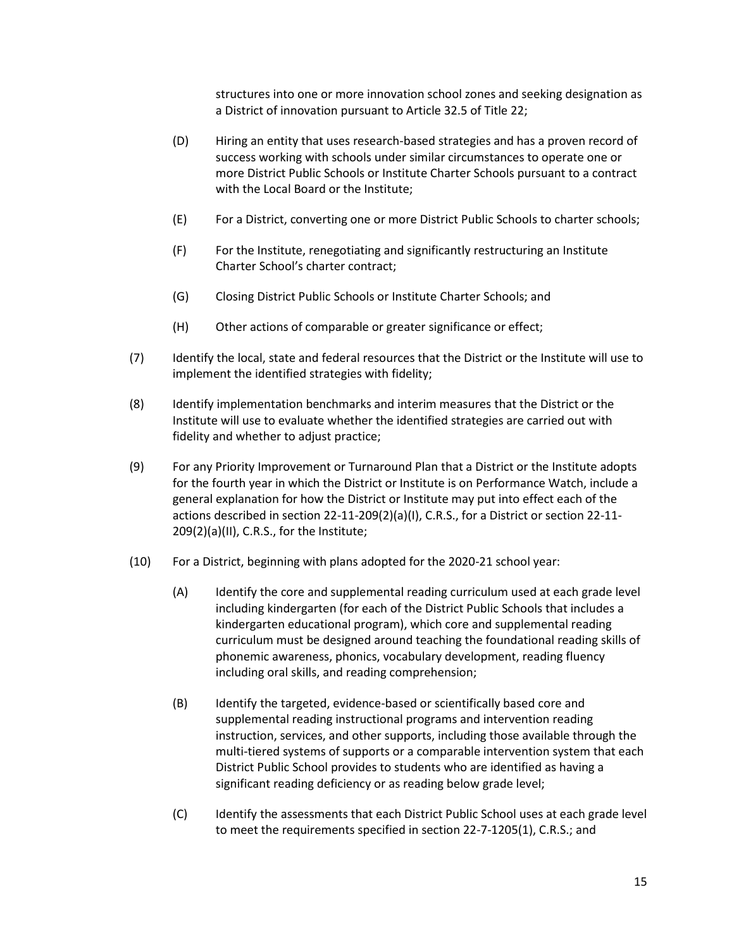structures into one or more innovation school zones and seeking designation as a District of innovation pursuant to Article 32.5 of Title 22;

- (D) Hiring an entity that uses research-based strategies and has a proven record of success working with schools under similar circumstances to operate one or more District Public Schools or Institute Charter Schools pursuant to a contract with the Local Board or the Institute;
- (E) For a District, converting one or more District Public Schools to charter schools;
- (F) For the Institute, renegotiating and significantly restructuring an Institute Charter School's charter contract;
- (G) Closing District Public Schools or Institute Charter Schools; and
- (H) Other actions of comparable or greater significance or effect;
- (7) Identify the local, state and federal resources that the District or the Institute will use to implement the identified strategies with fidelity;
- (8) Identify implementation benchmarks and interim measures that the District or the Institute will use to evaluate whether the identified strategies are carried out with fidelity and whether to adjust practice;
- (9) For any Priority Improvement or Turnaround Plan that a District or the Institute adopts for the fourth year in which the District or Institute is on Performance Watch, include a general explanation for how the District or Institute may put into effect each of the actions described in section 22-11-209(2)(a)(I), C.R.S., for a District or section 22-11- 209(2)(a)(II), C.R.S., for the Institute;
- (10) For a District, beginning with plans adopted for the 2020-21 school year:
	- (A) Identify the core and supplemental reading curriculum used at each grade level including kindergarten (for each of the District Public Schools that includes a kindergarten educational program), which core and supplemental reading curriculum must be designed around teaching the foundational reading skills of phonemic awareness, phonics, vocabulary development, reading fluency including oral skills, and reading comprehension;
	- (B) Identify the targeted, evidence-based or scientifically based core and supplemental reading instructional programs and intervention reading instruction, services, and other supports, including those available through the multi-tiered systems of supports or a comparable intervention system that each District Public School provides to students who are identified as having a significant reading deficiency or as reading below grade level;
	- (C) Identify the assessments that each District Public School uses at each grade level to meet the requirements specified in section 22-7-1205(1), C.R.S.; and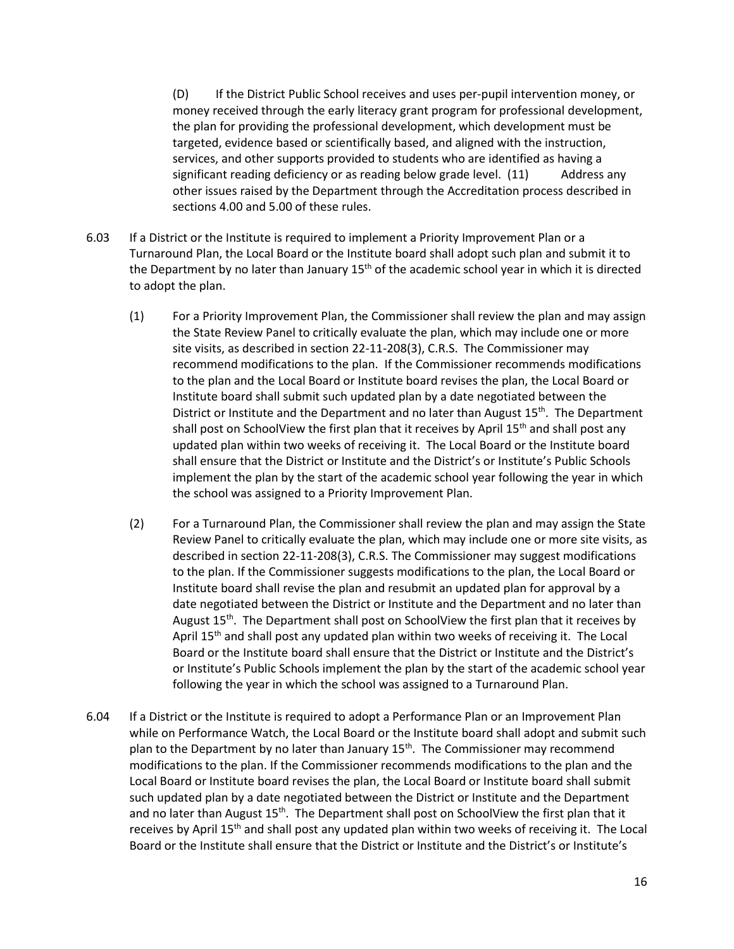(D) If the District Public School receives and uses per-pupil intervention money, or money received through the early literacy grant program for professional development, the plan for providing the professional development, which development must be targeted, evidence based or scientifically based, and aligned with the instruction, services, and other supports provided to students who are identified as having a significant reading deficiency or as reading below grade level. (11) Address any other issues raised by the Department through the Accreditation process described in sections 4.00 and 5.00 of these rules.

- 6.03 If a District or the Institute is required to implement a Priority Improvement Plan or a Turnaround Plan, the Local Board or the Institute board shall adopt such plan and submit it to the Department by no later than January  $15<sup>th</sup>$  of the academic school year in which it is directed to adopt the plan.
	- (1) For a Priority Improvement Plan, the Commissioner shall review the plan and may assign the State Review Panel to critically evaluate the plan, which may include one or more site visits, as described in section 22-11-208(3), C.R.S. The Commissioner may recommend modifications to the plan. If the Commissioner recommends modifications to the plan and the Local Board or Institute board revises the plan, the Local Board or Institute board shall submit such updated plan by a date negotiated between the District or Institute and the Department and no later than August 15<sup>th</sup>. The Department shall post on SchoolView the first plan that it receives by April 15<sup>th</sup> and shall post any updated plan within two weeks of receiving it. The Local Board or the Institute board shall ensure that the District or Institute and the District's or Institute's Public Schools implement the plan by the start of the academic school year following the year in which the school was assigned to a Priority Improvement Plan.
	- (2) For a Turnaround Plan, the Commissioner shall review the plan and may assign the State Review Panel to critically evaluate the plan, which may include one or more site visits, as described in section 22-11-208(3), C.R.S. The Commissioner may suggest modifications to the plan. If the Commissioner suggests modifications to the plan, the Local Board or Institute board shall revise the plan and resubmit an updated plan for approval by a date negotiated between the District or Institute and the Department and no later than August 15<sup>th</sup>. The Department shall post on SchoolView the first plan that it receives by April  $15<sup>th</sup>$  and shall post any updated plan within two weeks of receiving it. The Local Board or the Institute board shall ensure that the District or Institute and the District's or Institute's Public Schools implement the plan by the start of the academic school year following the year in which the school was assigned to a Turnaround Plan.
- 6.04 If a District or the Institute is required to adopt a Performance Plan or an Improvement Plan while on Performance Watch, the Local Board or the Institute board shall adopt and submit such plan to the Department by no later than January 15<sup>th</sup>. The Commissioner may recommend modifications to the plan. If the Commissioner recommends modifications to the plan and the Local Board or Institute board revises the plan, the Local Board or Institute board shall submit such updated plan by a date negotiated between the District or Institute and the Department and no later than August 15<sup>th</sup>. The Department shall post on SchoolView the first plan that it receives by April 15<sup>th</sup> and shall post any updated plan within two weeks of receiving it. The Local Board or the Institute shall ensure that the District or Institute and the District's or Institute's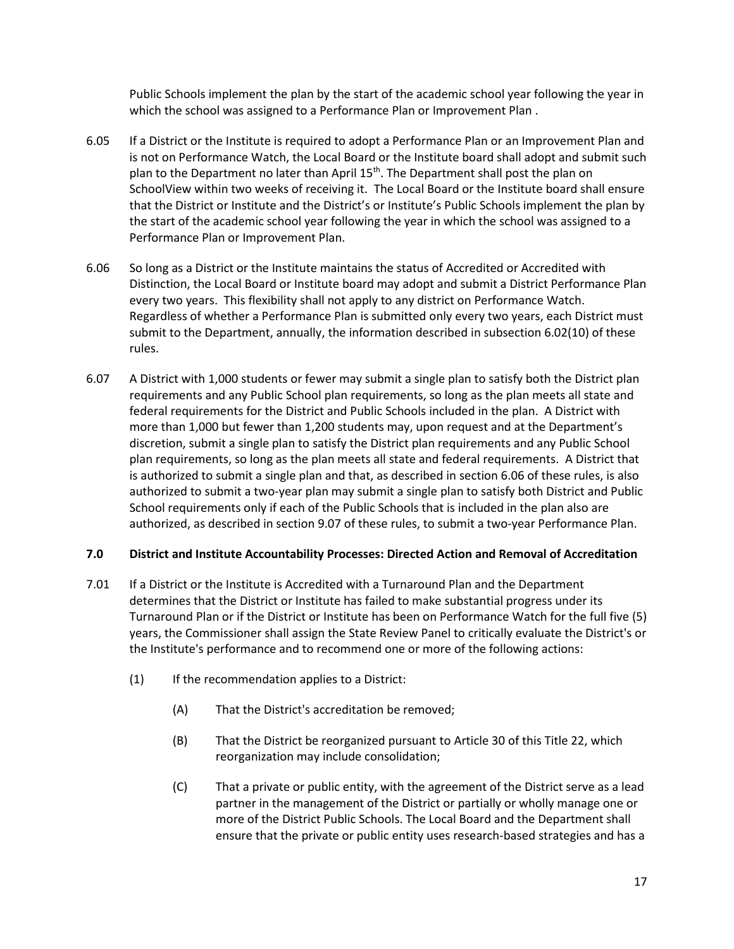Public Schools implement the plan by the start of the academic school year following the year in which the school was assigned to a Performance Plan or Improvement Plan .

- 6.05 If a District or the Institute is required to adopt a Performance Plan or an Improvement Plan and is not on Performance Watch, the Local Board or the Institute board shall adopt and submit such plan to the Department no later than April 15<sup>th</sup>. The Department shall post the plan on SchoolView within two weeks of receiving it. The Local Board or the Institute board shall ensure that the District or Institute and the District's or Institute's Public Schools implement the plan by the start of the academic school year following the year in which the school was assigned to a Performance Plan or Improvement Plan.
- 6.06 So long as a District or the Institute maintains the status of Accredited or Accredited with Distinction, the Local Board or Institute board may adopt and submit a District Performance Plan every two years. This flexibility shall not apply to any district on Performance Watch. Regardless of whether a Performance Plan is submitted only every two years, each District must submit to the Department, annually, the information described in subsection 6.02(10) of these rules.
- 6.07 A District with 1,000 students or fewer may submit a single plan to satisfy both the District plan requirements and any Public School plan requirements, so long as the plan meets all state and federal requirements for the District and Public Schools included in the plan. A District with more than 1,000 but fewer than 1,200 students may, upon request and at the Department's discretion, submit a single plan to satisfy the District plan requirements and any Public School plan requirements, so long as the plan meets all state and federal requirements. A District that is authorized to submit a single plan and that, as described in section 6.06 of these rules, is also authorized to submit a two-year plan may submit a single plan to satisfy both District and Public School requirements only if each of the Public Schools that is included in the plan also are authorized, as described in section 9.07 of these rules, to submit a two-year Performance Plan.

## **7.0 District and Institute Accountability Processes: Directed Action and Removal of Accreditation**

- 7.01 If a District or the Institute is Accredited with a Turnaround Plan and the Department determines that the District or Institute has failed to make substantial progress under its Turnaround Plan or if the District or Institute has been on Performance Watch for the full five (5) years, the Commissioner shall assign the State Review Panel to critically evaluate the District's or the Institute's performance and to recommend one or more of the following actions:
	- $(1)$  If the recommendation applies to a District:
		- (A) That the District's accreditation be removed;
		- (B) That the District be reorganized pursuant to Article 30 of this Title 22, which reorganization may include consolidation;
		- (C) That a private or public entity, with the agreement of the District serve as a lead partner in the management of the District or partially or wholly manage one or more of the District Public Schools. The Local Board and the Department shall ensure that the private or public entity uses research-based strategies and has a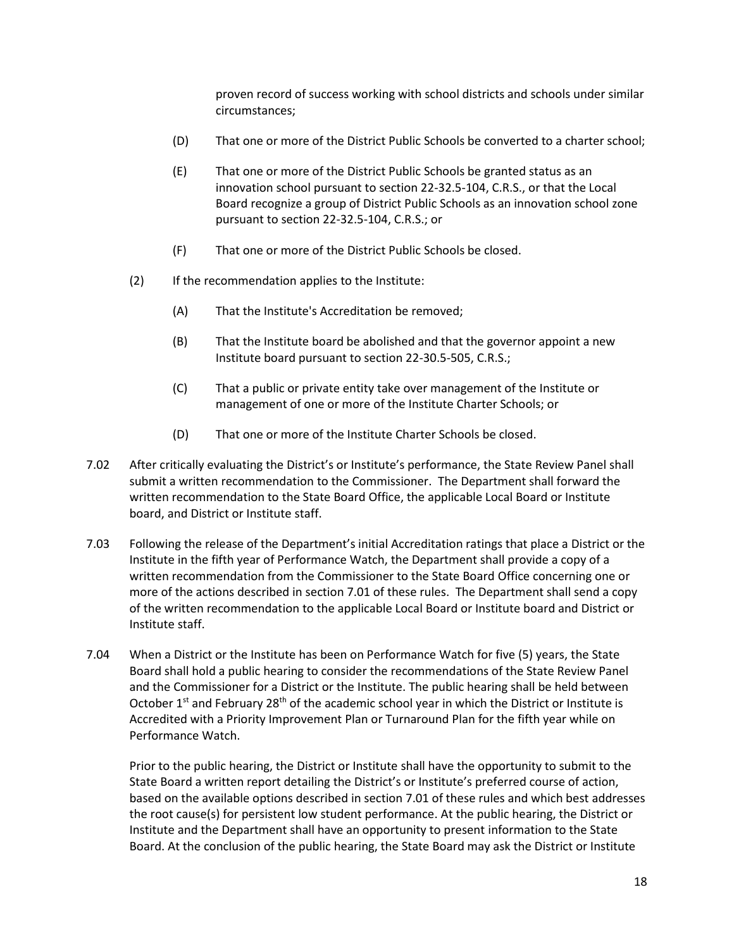proven record of success working with school districts and schools under similar circumstances;

- (D) That one or more of the District Public Schools be converted to a charter school;
- (E) That one or more of the District Public Schools be granted status as an innovation school pursuant to section 22-32.5-104, C.R.S., or that the Local Board recognize a group of District Public Schools as an innovation school zone pursuant to section 22-32.5-104, C.R.S.; or
- (F) That one or more of the District Public Schools be closed.
- (2) If the recommendation applies to the Institute:
	- (A) That the Institute's Accreditation be removed;
	- (B) That the Institute board be abolished and that the governor appoint a new Institute board pursuant to section 22-30.5-505, C.R.S.;
	- (C) That a public or private entity take over management of the Institute or management of one or more of the Institute Charter Schools; or
	- (D) That one or more of the Institute Charter Schools be closed.
- 7.02 After critically evaluating the District's or Institute's performance, the State Review Panel shall submit a written recommendation to the Commissioner. The Department shall forward the written recommendation to the State Board Office, the applicable Local Board or Institute board, and District or Institute staff.
- 7.03 Following the release of the Department's initial Accreditation ratings that place a District or the Institute in the fifth year of Performance Watch, the Department shall provide a copy of a written recommendation from the Commissioner to the State Board Office concerning one or more of the actions described in section 7.01 of these rules. The Department shall send a copy of the written recommendation to the applicable Local Board or Institute board and District or Institute staff.
- 7.04 When a District or the Institute has been on Performance Watch for five (5) years, the State Board shall hold a public hearing to consider the recommendations of the State Review Panel and the Commissioner for a District or the Institute. The public hearing shall be held between October  $1<sup>st</sup>$  and February 28<sup>th</sup> of the academic school year in which the District or Institute is Accredited with a Priority Improvement Plan or Turnaround Plan for the fifth year while on Performance Watch.

Prior to the public hearing, the District or Institute shall have the opportunity to submit to the State Board a written report detailing the District's or Institute's preferred course of action, based on the available options described in section 7.01 of these rules and which best addresses the root cause(s) for persistent low student performance. At the public hearing, the District or Institute and the Department shall have an opportunity to present information to the State Board. At the conclusion of the public hearing, the State Board may ask the District or Institute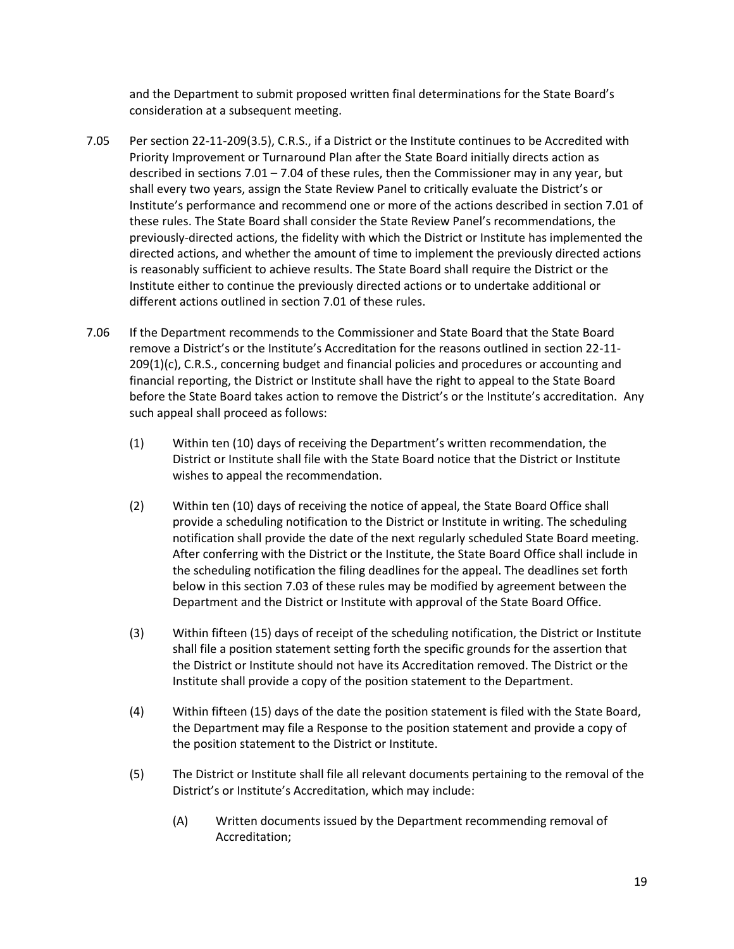and the Department to submit proposed written final determinations for the State Board's consideration at a subsequent meeting.

- 7.05 Per section 22-11-209(3.5), C.R.S., if a District or the Institute continues to be Accredited with Priority Improvement or Turnaround Plan after the State Board initially directs action as described in sections 7.01 – 7.04 of these rules, then the Commissioner may in any year, but shall every two years, assign the State Review Panel to critically evaluate the District's or Institute's performance and recommend one or more of the actions described in section 7.01 of these rules. The State Board shall consider the State Review Panel's recommendations, the previously-directed actions, the fidelity with which the District or Institute has implemented the directed actions, and whether the amount of time to implement the previously directed actions is reasonably sufficient to achieve results. The State Board shall require the District or the Institute either to continue the previously directed actions or to undertake additional or different actions outlined in section 7.01 of these rules.
- 7.06 If the Department recommends to the Commissioner and State Board that the State Board remove a District's or the Institute's Accreditation for the reasons outlined in section 22-11- 209(1)(c), C.R.S., concerning budget and financial policies and procedures or accounting and financial reporting, the District or Institute shall have the right to appeal to the State Board before the State Board takes action to remove the District's or the Institute's accreditation. Any such appeal shall proceed as follows:
	- (1) Within ten (10) days of receiving the Department's written recommendation, the District or Institute shall file with the State Board notice that the District or Institute wishes to appeal the recommendation.
	- (2) Within ten (10) days of receiving the notice of appeal, the State Board Office shall provide a scheduling notification to the District or Institute in writing. The scheduling notification shall provide the date of the next regularly scheduled State Board meeting. After conferring with the District or the Institute, the State Board Office shall include in the scheduling notification the filing deadlines for the appeal. The deadlines set forth below in this section 7.03 of these rules may be modified by agreement between the Department and the District or Institute with approval of the State Board Office.
	- (3) Within fifteen (15) days of receipt of the scheduling notification, the District or Institute shall file a position statement setting forth the specific grounds for the assertion that the District or Institute should not have its Accreditation removed. The District or the Institute shall provide a copy of the position statement to the Department.
	- (4) Within fifteen (15) days of the date the position statement is filed with the State Board, the Department may file a Response to the position statement and provide a copy of the position statement to the District or Institute.
	- (5) The District or Institute shall file all relevant documents pertaining to the removal of the District's or Institute's Accreditation, which may include:
		- (A) Written documents issued by the Department recommending removal of Accreditation;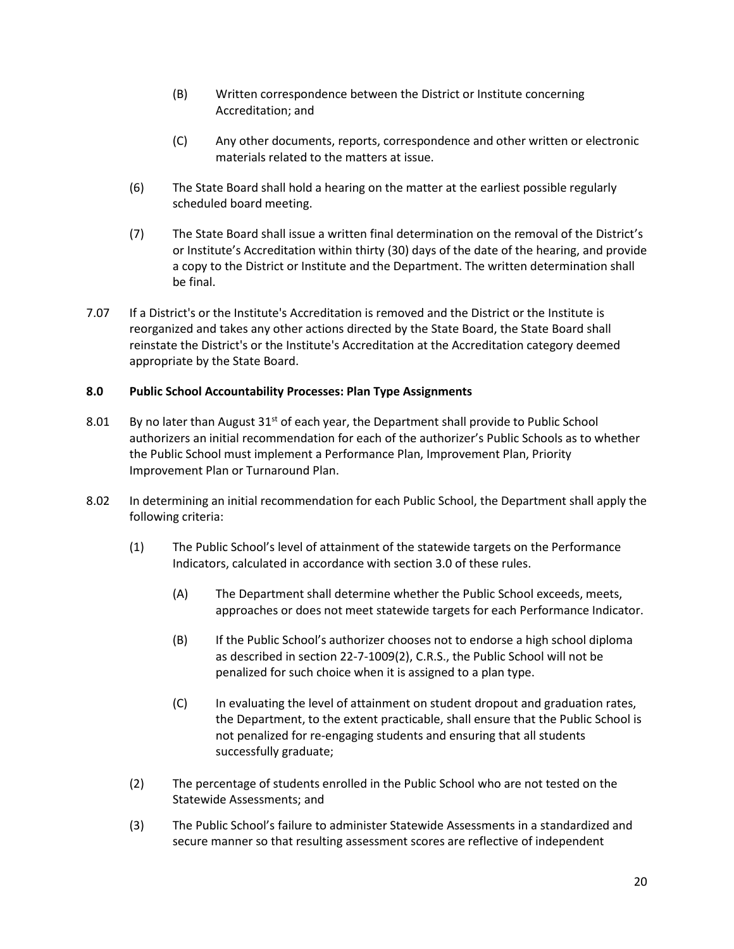- (B) Written correspondence between the District or Institute concerning Accreditation; and
- (C) Any other documents, reports, correspondence and other written or electronic materials related to the matters at issue.
- (6) The State Board shall hold a hearing on the matter at the earliest possible regularly scheduled board meeting.
- (7) The State Board shall issue a written final determination on the removal of the District's or Institute's Accreditation within thirty (30) days of the date of the hearing, and provide a copy to the District or Institute and the Department. The written determination shall be final.
- 7.07 If a District's or the Institute's Accreditation is removed and the District or the Institute is reorganized and takes any other actions directed by the State Board, the State Board shall reinstate the District's or the Institute's Accreditation at the Accreditation category deemed appropriate by the State Board.

## **8.0 Public School Accountability Processes: Plan Type Assignments**

- 8.01 By no later than August  $31<sup>st</sup>$  of each year, the Department shall provide to Public School authorizers an initial recommendation for each of the authorizer's Public Schools as to whether the Public School must implement a Performance Plan, Improvement Plan, Priority Improvement Plan or Turnaround Plan.
- 8.02 In determining an initial recommendation for each Public School, the Department shall apply the following criteria:
	- (1) The Public School's level of attainment of the statewide targets on the Performance Indicators, calculated in accordance with section 3.0 of these rules.
		- (A) The Department shall determine whether the Public School exceeds, meets, approaches or does not meet statewide targets for each Performance Indicator.
		- (B) If the Public School's authorizer chooses not to endorse a high school diploma as described in section 22-7-1009(2), C.R.S., the Public School will not be penalized for such choice when it is assigned to a plan type.
		- (C) In evaluating the level of attainment on student dropout and graduation rates, the Department, to the extent practicable, shall ensure that the Public School is not penalized for re-engaging students and ensuring that all students successfully graduate;
	- (2) The percentage of students enrolled in the Public School who are not tested on the Statewide Assessments; and
	- (3) The Public School's failure to administer Statewide Assessments in a standardized and secure manner so that resulting assessment scores are reflective of independent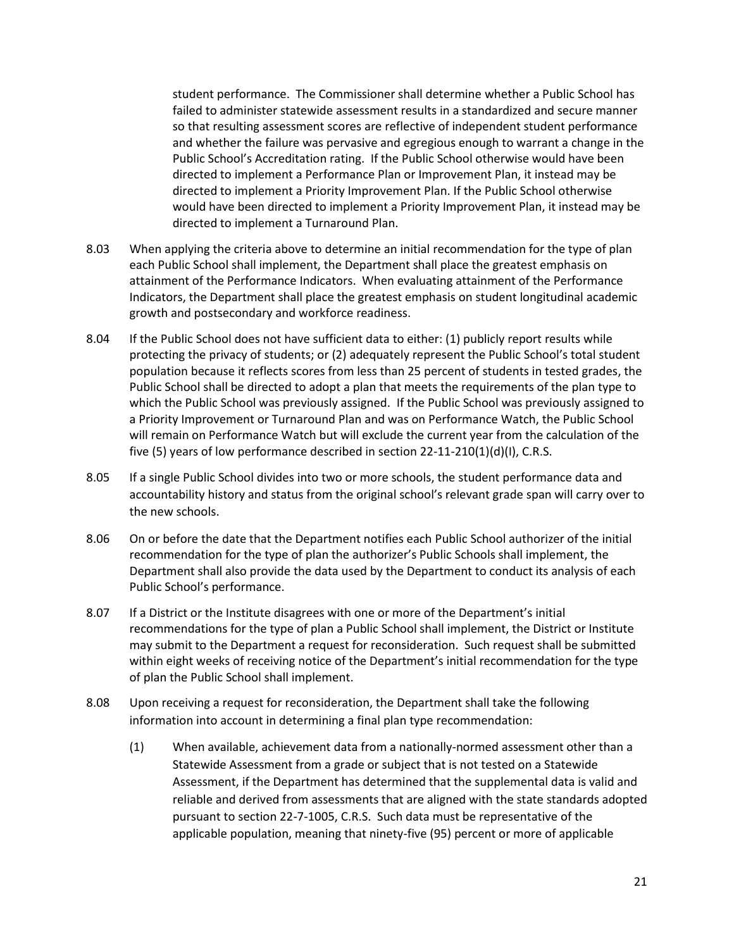student performance. The Commissioner shall determine whether a Public School has failed to administer statewide assessment results in a standardized and secure manner so that resulting assessment scores are reflective of independent student performance and whether the failure was pervasive and egregious enough to warrant a change in the Public School's Accreditation rating. If the Public School otherwise would have been directed to implement a Performance Plan or Improvement Plan, it instead may be directed to implement a Priority Improvement Plan. If the Public School otherwise would have been directed to implement a Priority Improvement Plan, it instead may be directed to implement a Turnaround Plan.

- 8.03 When applying the criteria above to determine an initial recommendation for the type of plan each Public School shall implement, the Department shall place the greatest emphasis on attainment of the Performance Indicators. When evaluating attainment of the Performance Indicators, the Department shall place the greatest emphasis on student longitudinal academic growth and postsecondary and workforce readiness.
- 8.04 If the Public School does not have sufficient data to either: (1) publicly report results while protecting the privacy of students; or (2) adequately represent the Public School's total student population because it reflects scores from less than 25 percent of students in tested grades, the Public School shall be directed to adopt a plan that meets the requirements of the plan type to which the Public School was previously assigned. If the Public School was previously assigned to a Priority Improvement or Turnaround Plan and was on Performance Watch, the Public School will remain on Performance Watch but will exclude the current year from the calculation of the five (5) years of low performance described in section  $22-11-210(1)(d)(1)$ , C.R.S.
- 8.05 If a single Public School divides into two or more schools, the student performance data and accountability history and status from the original school's relevant grade span will carry over to the new schools.
- 8.06 On or before the date that the Department notifies each Public School authorizer of the initial recommendation for the type of plan the authorizer's Public Schools shall implement, the Department shall also provide the data used by the Department to conduct its analysis of each Public School's performance.
- 8.07 If a District or the Institute disagrees with one or more of the Department's initial recommendations for the type of plan a Public School shall implement, the District or Institute may submit to the Department a request for reconsideration. Such request shall be submitted within eight weeks of receiving notice of the Department's initial recommendation for the type of plan the Public School shall implement.
- 8.08 Upon receiving a request for reconsideration, the Department shall take the following information into account in determining a final plan type recommendation:
	- (1) When available, achievement data from a nationally-normed assessment other than a Statewide Assessment from a grade or subject that is not tested on a Statewide Assessment, if the Department has determined that the supplemental data is valid and reliable and derived from assessments that are aligned with the state standards adopted pursuant to section 22-7-1005, C.R.S. Such data must be representative of the applicable population, meaning that ninety-five (95) percent or more of applicable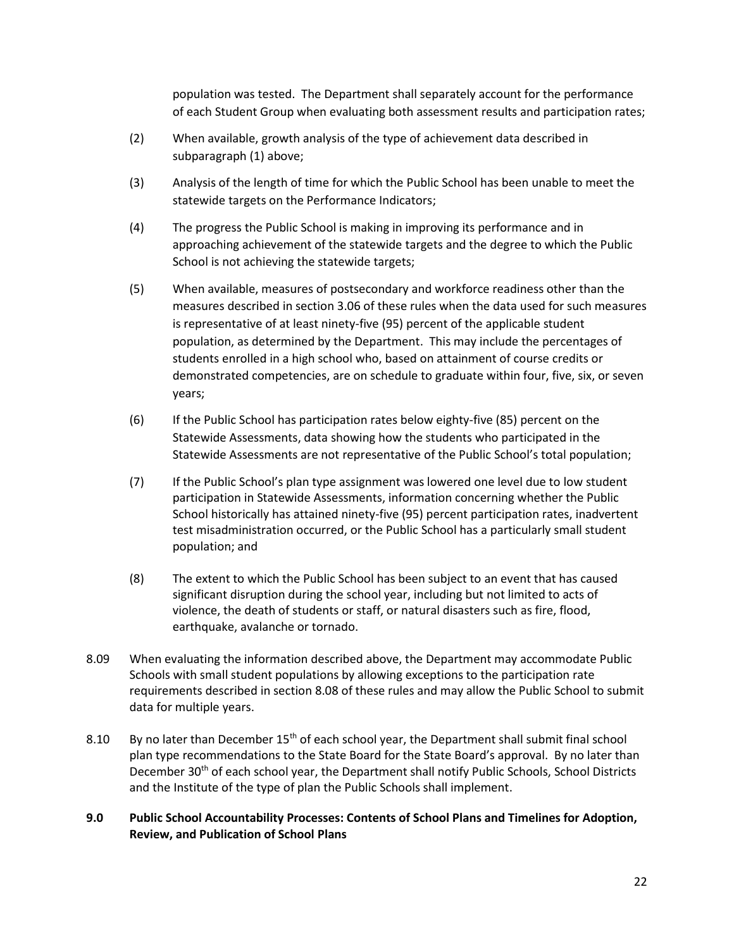population was tested. The Department shall separately account for the performance of each Student Group when evaluating both assessment results and participation rates;

- (2) When available, growth analysis of the type of achievement data described in subparagraph (1) above;
- (3) Analysis of the length of time for which the Public School has been unable to meet the statewide targets on the Performance Indicators;
- (4) The progress the Public School is making in improving its performance and in approaching achievement of the statewide targets and the degree to which the Public School is not achieving the statewide targets;
- (5) When available, measures of postsecondary and workforce readiness other than the measures described in section 3.06 of these rules when the data used for such measures is representative of at least ninety-five (95) percent of the applicable student population, as determined by the Department. This may include the percentages of students enrolled in a high school who, based on attainment of course credits or demonstrated competencies, are on schedule to graduate within four, five, six, or seven years;
- (6) If the Public School has participation rates below eighty-five (85) percent on the Statewide Assessments, data showing how the students who participated in the Statewide Assessments are not representative of the Public School's total population;
- (7) If the Public School's plan type assignment was lowered one level due to low student participation in Statewide Assessments, information concerning whether the Public School historically has attained ninety-five (95) percent participation rates, inadvertent test misadministration occurred, or the Public School has a particularly small student population; and
- (8) The extent to which the Public School has been subject to an event that has caused significant disruption during the school year, including but not limited to acts of violence, the death of students or staff, or natural disasters such as fire, flood, earthquake, avalanche or tornado.
- 8.09 When evaluating the information described above, the Department may accommodate Public Schools with small student populations by allowing exceptions to the participation rate requirements described in section 8.08 of these rules and may allow the Public School to submit data for multiple years.
- 8.10 By no later than December  $15<sup>th</sup>$  of each school year, the Department shall submit final school plan type recommendations to the State Board for the State Board's approval. By no later than December 30<sup>th</sup> of each school year, the Department shall notify Public Schools, School Districts and the Institute of the type of plan the Public Schools shall implement.

## **9.0 Public School Accountability Processes: Contents of School Plans and Timelines for Adoption, Review, and Publication of School Plans**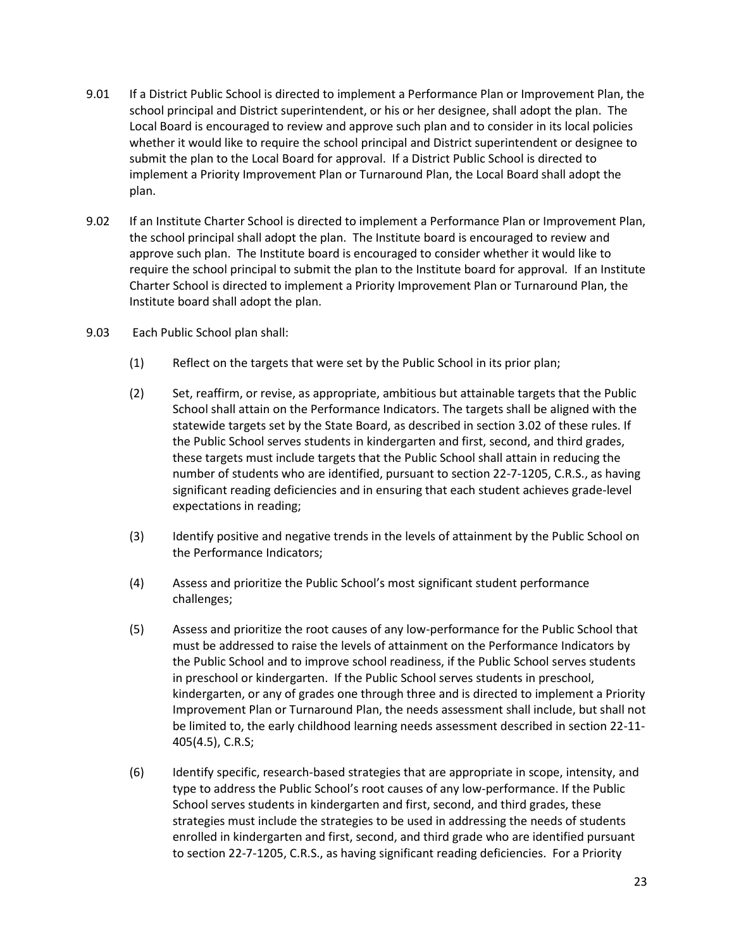- 9.01 If a District Public School is directed to implement a Performance Plan or Improvement Plan, the school principal and District superintendent, or his or her designee, shall adopt the plan. The Local Board is encouraged to review and approve such plan and to consider in its local policies whether it would like to require the school principal and District superintendent or designee to submit the plan to the Local Board for approval. If a District Public School is directed to implement a Priority Improvement Plan or Turnaround Plan, the Local Board shall adopt the plan.
- 9.02 If an Institute Charter School is directed to implement a Performance Plan or Improvement Plan, the school principal shall adopt the plan. The Institute board is encouraged to review and approve such plan. The Institute board is encouraged to consider whether it would like to require the school principal to submit the plan to the Institute board for approval. If an Institute Charter School is directed to implement a Priority Improvement Plan or Turnaround Plan, the Institute board shall adopt the plan.
- 9.03 Each Public School plan shall:
	- (1) Reflect on the targets that were set by the Public School in its prior plan;
	- (2) Set, reaffirm, or revise, as appropriate, ambitious but attainable targets that the Public School shall attain on the Performance Indicators. The targets shall be aligned with the statewide targets set by the State Board, as described in section 3.02 of these rules. If the Public School serves students in kindergarten and first, second, and third grades, these targets must include targets that the Public School shall attain in reducing the number of students who are identified, pursuant to section 22-7-1205, C.R.S., as having significant reading deficiencies and in ensuring that each student achieves grade-level expectations in reading;
	- (3) Identify positive and negative trends in the levels of attainment by the Public School on the Performance Indicators;
	- (4) Assess and prioritize the Public School's most significant student performance challenges;
	- (5) Assess and prioritize the root causes of any low-performance for the Public School that must be addressed to raise the levels of attainment on the Performance Indicators by the Public School and to improve school readiness, if the Public School serves students in preschool or kindergarten. If the Public School serves students in preschool, kindergarten, or any of grades one through three and is directed to implement a Priority Improvement Plan or Turnaround Plan, the needs assessment shall include, but shall not be limited to, the early childhood learning needs assessment described in section 22-11- 405(4.5), C.R.S;
	- (6) Identify specific, research-based strategies that are appropriate in scope, intensity, and type to address the Public School's root causes of any low-performance. If the Public School serves students in kindergarten and first, second, and third grades, these strategies must include the strategies to be used in addressing the needs of students enrolled in kindergarten and first, second, and third grade who are identified pursuant to section 22-7-1205, C.R.S., as having significant reading deficiencies. For a Priority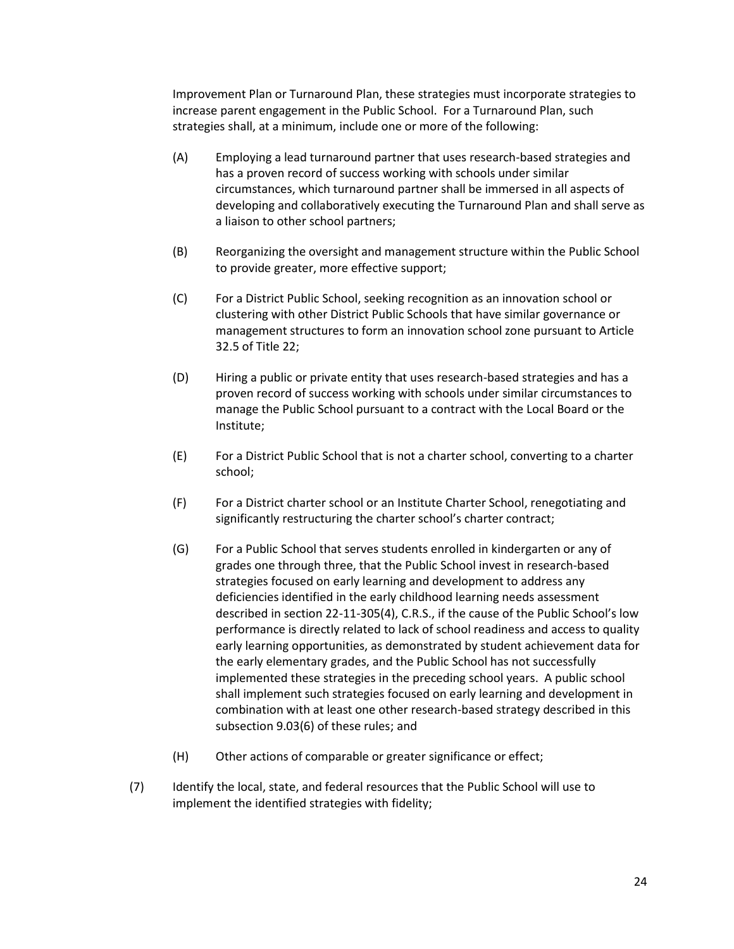Improvement Plan or Turnaround Plan, these strategies must incorporate strategies to increase parent engagement in the Public School. For a Turnaround Plan, such strategies shall, at a minimum, include one or more of the following:

- (A) Employing a lead turnaround partner that uses research-based strategies and has a proven record of success working with schools under similar circumstances, which turnaround partner shall be immersed in all aspects of developing and collaboratively executing the Turnaround Plan and shall serve as a liaison to other school partners;
- (B) Reorganizing the oversight and management structure within the Public School to provide greater, more effective support;
- (C) For a District Public School, seeking recognition as an innovation school or clustering with other District Public Schools that have similar governance or management structures to form an innovation school zone pursuant to Article 32.5 of Title 22;
- (D) Hiring a public or private entity that uses research-based strategies and has a proven record of success working with schools under similar circumstances to manage the Public School pursuant to a contract with the Local Board or the Institute;
- (E) For a District Public School that is not a charter school, converting to a charter school;
- (F) For a District charter school or an Institute Charter School, renegotiating and significantly restructuring the charter school's charter contract;
- (G) For a Public School that serves students enrolled in kindergarten or any of grades one through three, that the Public School invest in research-based strategies focused on early learning and development to address any deficiencies identified in the early childhood learning needs assessment described in section 22-11-305(4), C.R.S., if the cause of the Public School's low performance is directly related to lack of school readiness and access to quality early learning opportunities, as demonstrated by student achievement data for the early elementary grades, and the Public School has not successfully implemented these strategies in the preceding school years. A public school shall implement such strategies focused on early learning and development in combination with at least one other research-based strategy described in this subsection 9.03(6) of these rules; and
- (H) Other actions of comparable or greater significance or effect;
- (7) Identify the local, state, and federal resources that the Public School will use to implement the identified strategies with fidelity;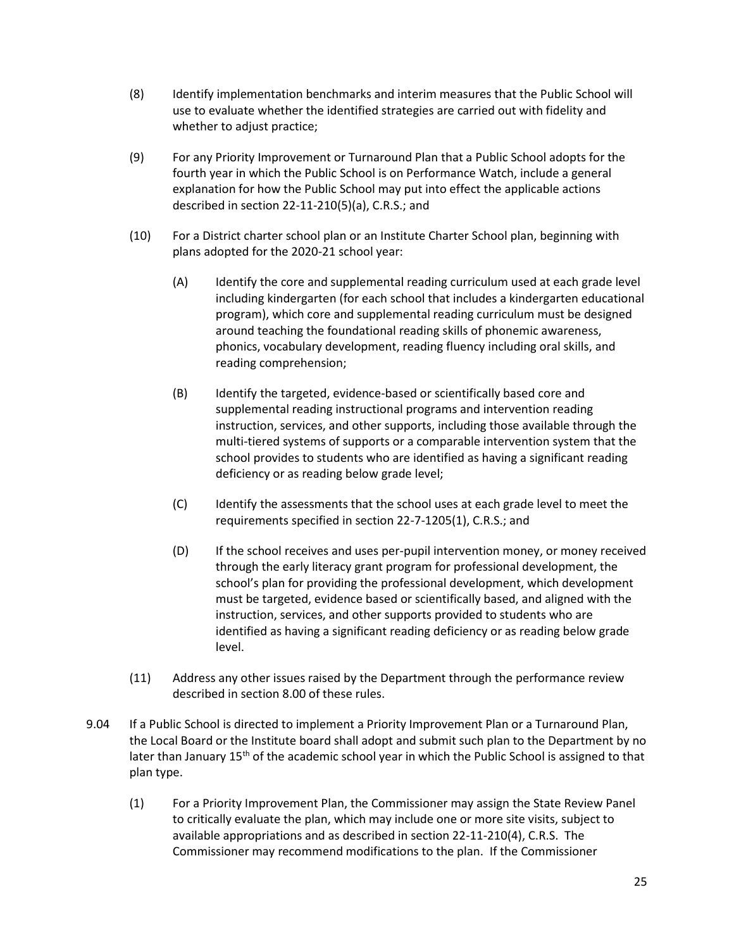- (8) Identify implementation benchmarks and interim measures that the Public School will use to evaluate whether the identified strategies are carried out with fidelity and whether to adjust practice;
- (9) For any Priority Improvement or Turnaround Plan that a Public School adopts for the fourth year in which the Public School is on Performance Watch, include a general explanation for how the Public School may put into effect the applicable actions described in section 22-11-210(5)(a), C.R.S.; and
- (10) For a District charter school plan or an Institute Charter School plan, beginning with plans adopted for the 2020-21 school year:
	- (A) Identify the core and supplemental reading curriculum used at each grade level including kindergarten (for each school that includes a kindergarten educational program), which core and supplemental reading curriculum must be designed around teaching the foundational reading skills of phonemic awareness, phonics, vocabulary development, reading fluency including oral skills, and reading comprehension;
	- (B) Identify the targeted, evidence-based or scientifically based core and supplemental reading instructional programs and intervention reading instruction, services, and other supports, including those available through the multi-tiered systems of supports or a comparable intervention system that the school provides to students who are identified as having a significant reading deficiency or as reading below grade level;
	- (C) Identify the assessments that the school uses at each grade level to meet the requirements specified in section 22-7-1205(1), C.R.S.; and
	- (D) If the school receives and uses per-pupil intervention money, or money received through the early literacy grant program for professional development, the school's plan for providing the professional development, which development must be targeted, evidence based or scientifically based, and aligned with the instruction, services, and other supports provided to students who are identified as having a significant reading deficiency or as reading below grade level.
- (11) Address any other issues raised by the Department through the performance review described in section 8.00 of these rules.
- 9.04 If a Public School is directed to implement a Priority Improvement Plan or a Turnaround Plan, the Local Board or the Institute board shall adopt and submit such plan to the Department by no later than January 15<sup>th</sup> of the academic school year in which the Public School is assigned to that plan type.
	- (1) For a Priority Improvement Plan, the Commissioner may assign the State Review Panel to critically evaluate the plan, which may include one or more site visits, subject to available appropriations and as described in section 22-11-210(4), C.R.S. The Commissioner may recommend modifications to the plan. If the Commissioner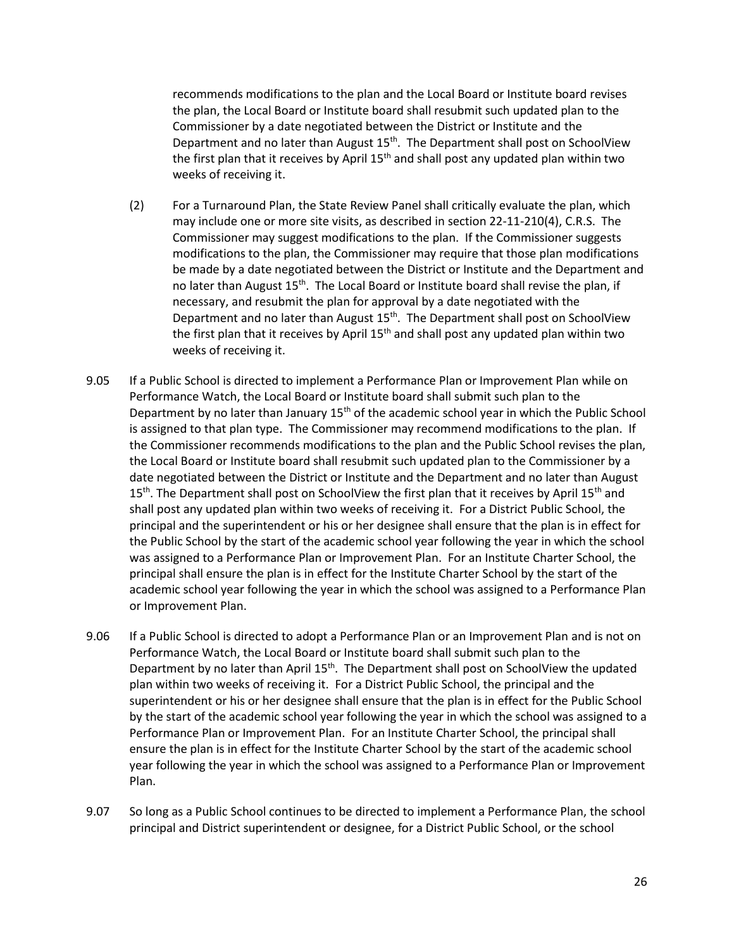recommends modifications to the plan and the Local Board or Institute board revises the plan, the Local Board or Institute board shall resubmit such updated plan to the Commissioner by a date negotiated between the District or Institute and the Department and no later than August 15<sup>th</sup>. The Department shall post on SchoolView the first plan that it receives by April  $15<sup>th</sup>$  and shall post any updated plan within two weeks of receiving it.

- (2) For a Turnaround Plan, the State Review Panel shall critically evaluate the plan, which may include one or more site visits, as described in section 22-11-210(4), C.R.S. The Commissioner may suggest modifications to the plan. If the Commissioner suggests modifications to the plan, the Commissioner may require that those plan modifications be made by a date negotiated between the District or Institute and the Department and no later than August 15<sup>th</sup>. The Local Board or Institute board shall revise the plan, if necessary, and resubmit the plan for approval by a date negotiated with the Department and no later than August 15<sup>th</sup>. The Department shall post on SchoolView the first plan that it receives by April 15<sup>th</sup> and shall post any updated plan within two weeks of receiving it.
- 9.05 If a Public School is directed to implement a Performance Plan or Improvement Plan while on Performance Watch, the Local Board or Institute board shall submit such plan to the Department by no later than January 15<sup>th</sup> of the academic school year in which the Public School is assigned to that plan type. The Commissioner may recommend modifications to the plan. If the Commissioner recommends modifications to the plan and the Public School revises the plan, the Local Board or Institute board shall resubmit such updated plan to the Commissioner by a date negotiated between the District or Institute and the Department and no later than August 15<sup>th</sup>. The Department shall post on SchoolView the first plan that it receives by April 15<sup>th</sup> and shall post any updated plan within two weeks of receiving it. For a District Public School, the principal and the superintendent or his or her designee shall ensure that the plan is in effect for the Public School by the start of the academic school year following the year in which the school was assigned to a Performance Plan or Improvement Plan. For an Institute Charter School, the principal shall ensure the plan is in effect for the Institute Charter School by the start of the academic school year following the year in which the school was assigned to a Performance Plan or Improvement Plan.
- 9.06 If a Public School is directed to adopt a Performance Plan or an Improvement Plan and is not on Performance Watch, the Local Board or Institute board shall submit such plan to the Department by no later than April 15<sup>th</sup>. The Department shall post on SchoolView the updated plan within two weeks of receiving it. For a District Public School, the principal and the superintendent or his or her designee shall ensure that the plan is in effect for the Public School by the start of the academic school year following the year in which the school was assigned to a Performance Plan or Improvement Plan. For an Institute Charter School, the principal shall ensure the plan is in effect for the Institute Charter School by the start of the academic school year following the year in which the school was assigned to a Performance Plan or Improvement Plan.
- 9.07 So long as a Public School continues to be directed to implement a Performance Plan, the school principal and District superintendent or designee, for a District Public School, or the school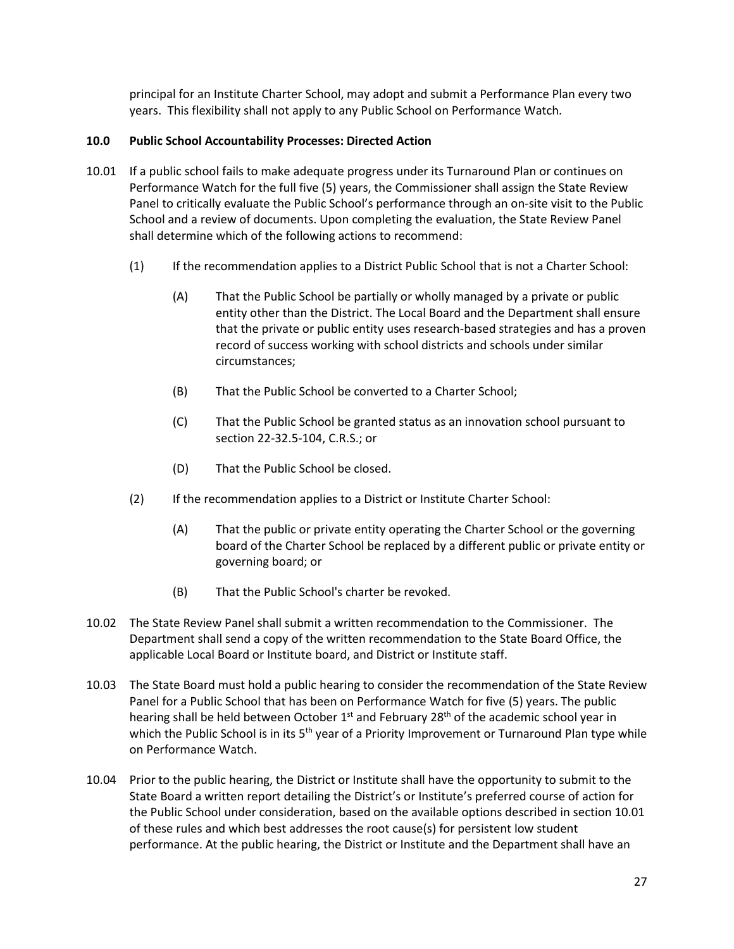principal for an Institute Charter School, may adopt and submit a Performance Plan every two years. This flexibility shall not apply to any Public School on Performance Watch.

## **10.0 Public School Accountability Processes: Directed Action**

- 10.01 If a public school fails to make adequate progress under its Turnaround Plan or continues on Performance Watch for the full five (5) years, the Commissioner shall assign the State Review Panel to critically evaluate the Public School's performance through an on-site visit to the Public School and a review of documents. Upon completing the evaluation, the State Review Panel shall determine which of the following actions to recommend:
	- (1) If the recommendation applies to a District Public School that is not a Charter School:
		- (A) That the Public School be partially or wholly managed by a private or public entity other than the District. The Local Board and the Department shall ensure that the private or public entity uses research-based strategies and has a proven record of success working with school districts and schools under similar circumstances;
		- (B) That the Public School be converted to a Charter School;
		- (C) That the Public School be granted status as an innovation school pursuant to section 22-32.5-104, C.R.S.; or
		- (D) That the Public School be closed.
	- (2) If the recommendation applies to a District or Institute Charter School:
		- (A) That the public or private entity operating the Charter School or the governing board of the Charter School be replaced by a different public or private entity or governing board; or
		- (B) That the Public School's charter be revoked.
- 10.02 The State Review Panel shall submit a written recommendation to the Commissioner. The Department shall send a copy of the written recommendation to the State Board Office, the applicable Local Board or Institute board, and District or Institute staff.
- 10.03 The State Board must hold a public hearing to consider the recommendation of the State Review Panel for a Public School that has been on Performance Watch for five (5) years. The public hearing shall be held between October  $1<sup>st</sup>$  and February 28<sup>th</sup> of the academic school year in which the Public School is in its 5<sup>th</sup> year of a Priority Improvement or Turnaround Plan type while on Performance Watch.
- 10.04 Prior to the public hearing, the District or Institute shall have the opportunity to submit to the State Board a written report detailing the District's or Institute's preferred course of action for the Public School under consideration, based on the available options described in section 10.01 of these rules and which best addresses the root cause(s) for persistent low student performance. At the public hearing, the District or Institute and the Department shall have an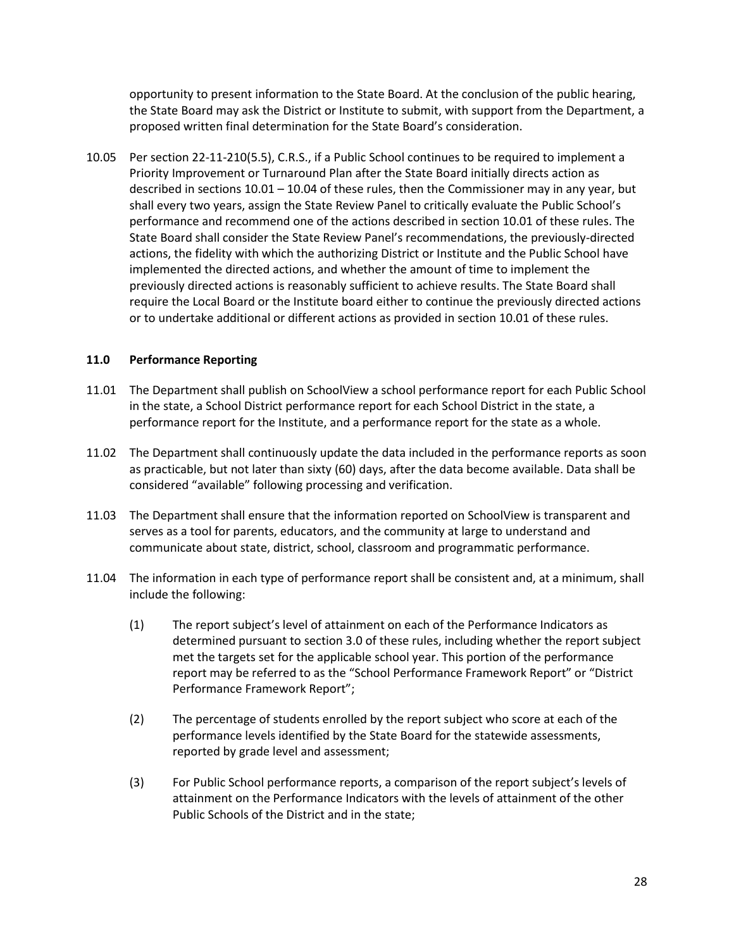opportunity to present information to the State Board. At the conclusion of the public hearing, the State Board may ask the District or Institute to submit, with support from the Department, a proposed written final determination for the State Board's consideration.

10.05 Per section 22-11-210(5.5), C.R.S., if a Public School continues to be required to implement a Priority Improvement or Turnaround Plan after the State Board initially directs action as described in sections 10.01 – 10.04 of these rules, then the Commissioner may in any year, but shall every two years, assign the State Review Panel to critically evaluate the Public School's performance and recommend one of the actions described in section 10.01 of these rules. The State Board shall consider the State Review Panel's recommendations, the previously-directed actions, the fidelity with which the authorizing District or Institute and the Public School have implemented the directed actions, and whether the amount of time to implement the previously directed actions is reasonably sufficient to achieve results. The State Board shall require the Local Board or the Institute board either to continue the previously directed actions or to undertake additional or different actions as provided in section 10.01 of these rules.

#### **11.0 Performance Reporting**

- 11.01 The Department shall publish on SchoolView a school performance report for each Public School in the state, a School District performance report for each School District in the state, a performance report for the Institute, and a performance report for the state as a whole.
- 11.02 The Department shall continuously update the data included in the performance reports as soon as practicable, but not later than sixty (60) days, after the data become available. Data shall be considered "available" following processing and verification.
- 11.03 The Department shall ensure that the information reported on SchoolView is transparent and serves as a tool for parents, educators, and the community at large to understand and communicate about state, district, school, classroom and programmatic performance.
- 11.04 The information in each type of performance report shall be consistent and, at a minimum, shall include the following:
	- (1) The report subject's level of attainment on each of the Performance Indicators as determined pursuant to section 3.0 of these rules, including whether the report subject met the targets set for the applicable school year. This portion of the performance report may be referred to as the "School Performance Framework Report" or "District Performance Framework Report";
	- (2) The percentage of students enrolled by the report subject who score at each of the performance levels identified by the State Board for the statewide assessments, reported by grade level and assessment;
	- (3) For Public School performance reports, a comparison of the report subject's levels of attainment on the Performance Indicators with the levels of attainment of the other Public Schools of the District and in the state;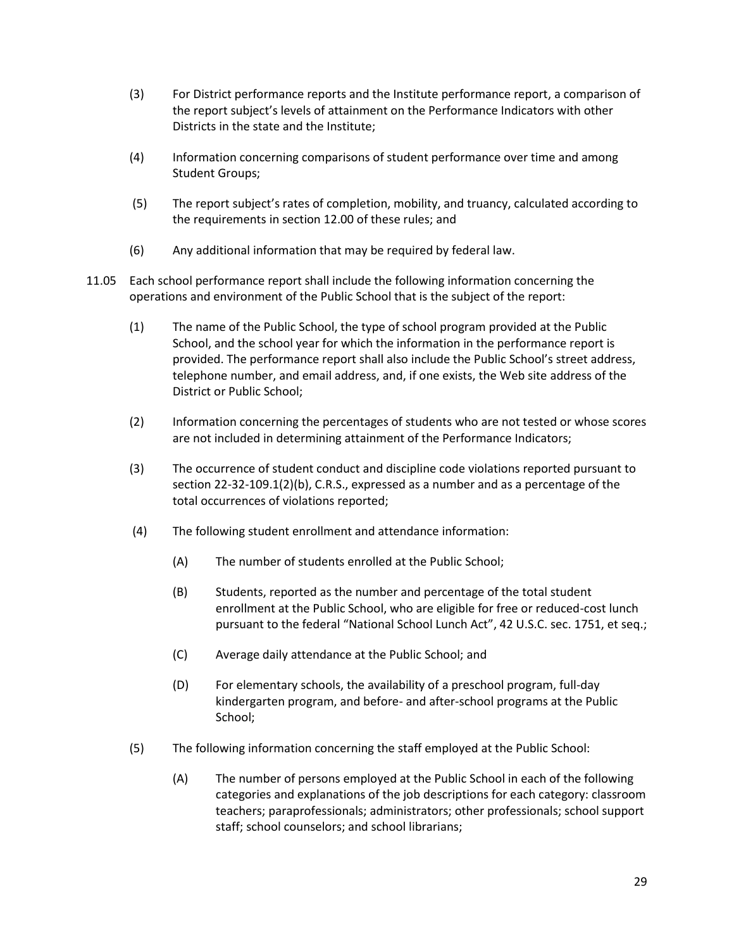- (3) For District performance reports and the Institute performance report, a comparison of the report subject's levels of attainment on the Performance Indicators with other Districts in the state and the Institute;
- (4) Information concerning comparisons of student performance over time and among Student Groups;
- (5) The report subject's rates of completion, mobility, and truancy, calculated according to the requirements in section 12.00 of these rules; and
- (6) Any additional information that may be required by federal law.
- 11.05 Each school performance report shall include the following information concerning the operations and environment of the Public School that is the subject of the report:
	- (1) The name of the Public School, the type of school program provided at the Public School, and the school year for which the information in the performance report is provided. The performance report shall also include the Public School's street address, telephone number, and email address, and, if one exists, the Web site address of the District or Public School;
	- (2) Information concerning the percentages of students who are not tested or whose scores are not included in determining attainment of the Performance Indicators;
	- (3) The occurrence of student conduct and discipline code violations reported pursuant to section 22-32-109.1(2)(b), C.R.S., expressed as a number and as a percentage of the total occurrences of violations reported;
	- (4) The following student enrollment and attendance information:
		- (A) The number of students enrolled at the Public School;
		- (B) Students, reported as the number and percentage of the total student enrollment at the Public School, who are eligible for free or reduced-cost lunch pursuant to the federal "National School Lunch Act", 42 U.S.C. sec. 1751, et seq.;
		- (C) Average daily attendance at the Public School; and
		- (D) For elementary schools, the availability of a preschool program, full-day kindergarten program, and before- and after-school programs at the Public School;
	- (5) The following information concerning the staff employed at the Public School:
		- (A) The number of persons employed at the Public School in each of the following categories and explanations of the job descriptions for each category: classroom teachers; paraprofessionals; administrators; other professionals; school support staff; school counselors; and school librarians;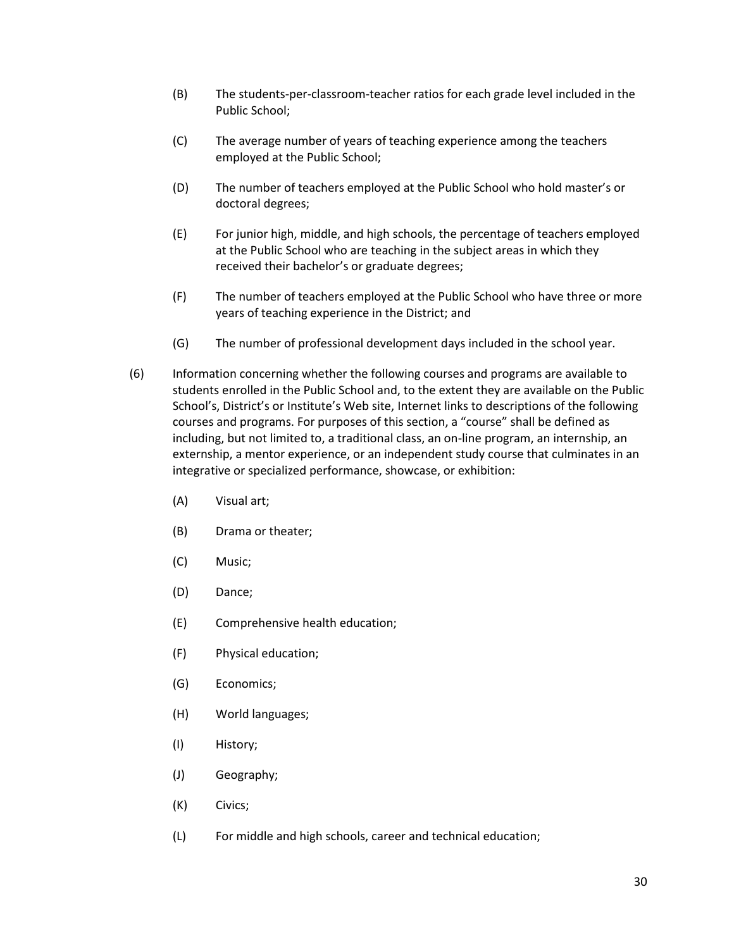- (B) The students-per-classroom-teacher ratios for each grade level included in the Public School;
- (C) The average number of years of teaching experience among the teachers employed at the Public School;
- (D) The number of teachers employed at the Public School who hold master's or doctoral degrees;
- (E) For junior high, middle, and high schools, the percentage of teachers employed at the Public School who are teaching in the subject areas in which they received their bachelor's or graduate degrees;
- (F) The number of teachers employed at the Public School who have three or more years of teaching experience in the District; and
- (G) The number of professional development days included in the school year.
- (6) Information concerning whether the following courses and programs are available to students enrolled in the Public School and, to the extent they are available on the Public School's, District's or Institute's Web site, Internet links to descriptions of the following courses and programs. For purposes of this section, a "course" shall be defined as including, but not limited to, a traditional class, an on-line program, an internship, an externship, a mentor experience, or an independent study course that culminates in an integrative or specialized performance, showcase, or exhibition:
	- (A) Visual art;
	- (B) Drama or theater;
	- (C) Music;
	- (D) Dance;
	- (E) Comprehensive health education;
	- (F) Physical education;
	- (G) Economics;
	- (H) World languages;
	- (I) History;
	- (J) Geography;
	- (K) Civics;
	- (L) For middle and high schools, career and technical education;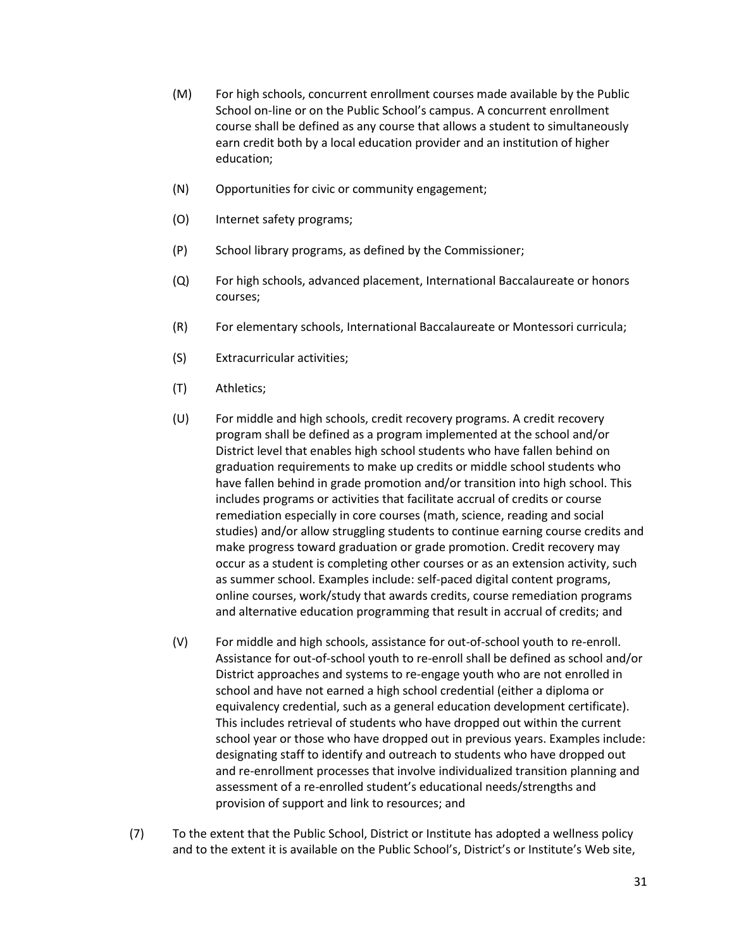- (M) For high schools, concurrent enrollment courses made available by the Public School on-line or on the Public School's campus. A concurrent enrollment course shall be defined as any course that allows a student to simultaneously earn credit both by a local education provider and an institution of higher education;
- (N) Opportunities for civic or community engagement;
- (O) Internet safety programs;
- (P) School library programs, as defined by the Commissioner;
- (Q) For high schools, advanced placement, International Baccalaureate or honors courses;
- (R) For elementary schools, International Baccalaureate or Montessori curricula;
- (S) Extracurricular activities;
- (T) Athletics;
- (U) For middle and high schools, credit recovery programs. A credit recovery program shall be defined as a program implemented at the school and/or District level that enables high school students who have fallen behind on graduation requirements to make up credits or middle school students who have fallen behind in grade promotion and/or transition into high school. This includes programs or activities that facilitate accrual of credits or course remediation especially in core courses (math, science, reading and social studies) and/or allow struggling students to continue earning course credits and make progress toward graduation or grade promotion. Credit recovery may occur as a student is completing other courses or as an extension activity, such as summer school. Examples include: self-paced digital content programs, online courses, work/study that awards credits, course remediation programs and alternative education programming that result in accrual of credits; and
- (V) For middle and high schools, assistance for out-of-school youth to re-enroll. Assistance for out-of-school youth to re-enroll shall be defined as school and/or District approaches and systems to re-engage youth who are not enrolled in school and have not earned a high school credential (either a diploma or equivalency credential, such as a general education development certificate). This includes retrieval of students who have dropped out within the current school year or those who have dropped out in previous years. Examples include: designating staff to identify and outreach to students who have dropped out and re-enrollment processes that involve individualized transition planning and assessment of a re-enrolled student's educational needs/strengths and provision of support and link to resources; and
- (7) To the extent that the Public School, District or Institute has adopted a wellness policy and to the extent it is available on the Public School's, District's or Institute's Web site,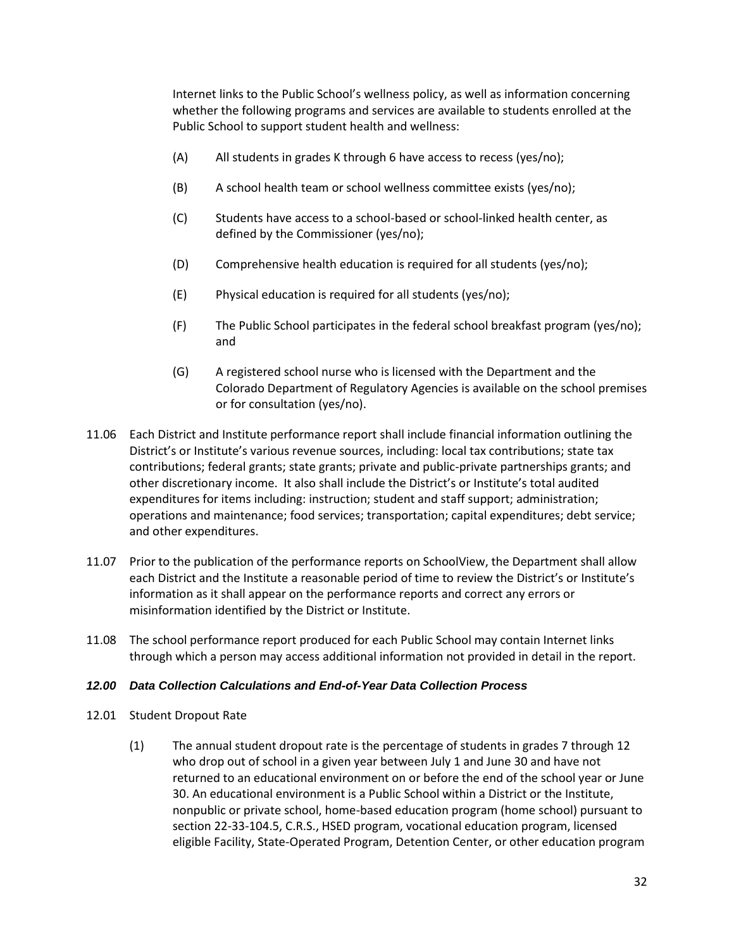Internet links to the Public School's wellness policy, as well as information concerning whether the following programs and services are available to students enrolled at the Public School to support student health and wellness:

- (A) All students in grades K through 6 have access to recess (yes/no);
- (B) A school health team or school wellness committee exists (yes/no);
- (C) Students have access to a school-based or school-linked health center, as defined by the Commissioner (yes/no);
- (D) Comprehensive health education is required for all students (yes/no);
- (E) Physical education is required for all students (yes/no);
- (F) The Public School participates in the federal school breakfast program (yes/no); and
- (G) A registered school nurse who is licensed with the Department and the Colorado Department of Regulatory Agencies is available on the school premises or for consultation (yes/no).
- 11.06 Each District and Institute performance report shall include financial information outlining the District's or Institute's various revenue sources, including: local tax contributions; state tax contributions; federal grants; state grants; private and public-private partnerships grants; and other discretionary income. It also shall include the District's or Institute's total audited expenditures for items including: instruction; student and staff support; administration; operations and maintenance; food services; transportation; capital expenditures; debt service; and other expenditures.
- 11.07 Prior to the publication of the performance reports on SchoolView, the Department shall allow each District and the Institute a reasonable period of time to review the District's or Institute's information as it shall appear on the performance reports and correct any errors or misinformation identified by the District or Institute.
- 11.08 The school performance report produced for each Public School may contain Internet links through which a person may access additional information not provided in detail in the report.

## *12.00 Data Collection Calculations and End-of-Year Data Collection Process*

- 12.01 Student Dropout Rate
	- (1) The annual student dropout rate is the percentage of students in grades 7 through 12 who drop out of school in a given year between July 1 and June 30 and have not returned to an educational environment on or before the end of the school year or June 30. An educational environment is a Public School within a District or the Institute, nonpublic or private school, home-based education program (home school) pursuant to section 22-33-104.5, C.R.S., HSED program, vocational education program, licensed eligible Facility, State-Operated Program, Detention Center, or other education program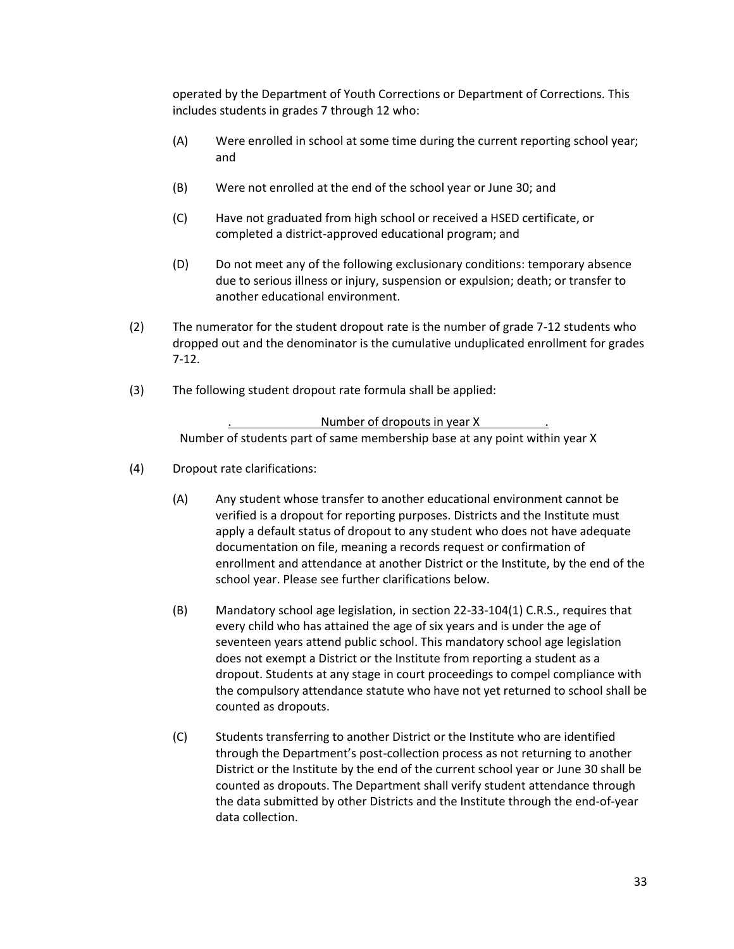operated by the Department of Youth Corrections or Department of Corrections. This includes students in grades 7 through 12 who:

- (A) Were enrolled in school at some time during the current reporting school year; and
- (B) Were not enrolled at the end of the school year or June 30; and
- (C) Have not graduated from high school or received a HSED certificate, or completed a district-approved educational program; and
- (D) Do not meet any of the following exclusionary conditions: temporary absence due to serious illness or injury, suspension or expulsion; death; or transfer to another educational environment.
- (2) The numerator for the student dropout rate is the number of grade 7-12 students who dropped out and the denominator is the cumulative unduplicated enrollment for grades 7-12.
- (3) The following student dropout rate formula shall be applied:

Number of dropouts in year X Number of students part of same membership base at any point within year X

- (4) Dropout rate clarifications:
	- (A) Any student whose transfer to another educational environment cannot be verified is a dropout for reporting purposes. Districts and the Institute must apply a default status of dropout to any student who does not have adequate documentation on file, meaning a records request or confirmation of enrollment and attendance at another District or the Institute, by the end of the school year. Please see further clarifications below.
	- (B) Mandatory school age legislation, in section 22-33-104(1) C.R.S., requires that every child who has attained the age of six years and is under the age of seventeen years attend public school. This mandatory school age legislation does not exempt a District or the Institute from reporting a student as a dropout. Students at any stage in court proceedings to compel compliance with the compulsory attendance statute who have not yet returned to school shall be counted as dropouts.
	- (C) Students transferring to another District or the Institute who are identified through the Department's post-collection process as not returning to another District or the Institute by the end of the current school year or June 30 shall be counted as dropouts. The Department shall verify student attendance through the data submitted by other Districts and the Institute through the end-of-year data collection.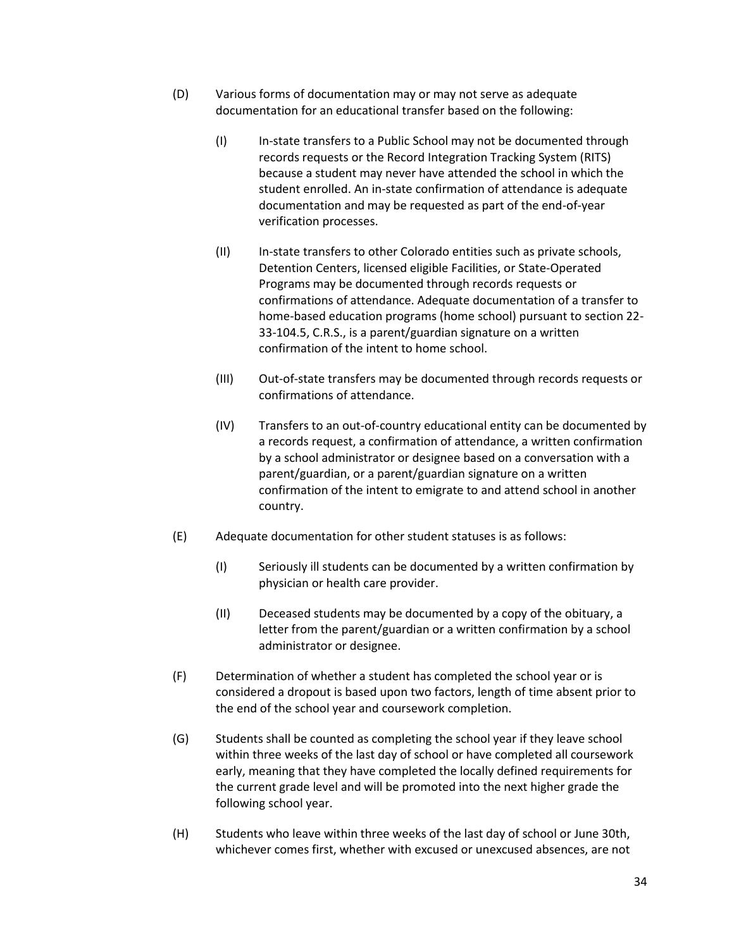- (D) Various forms of documentation may or may not serve as adequate documentation for an educational transfer based on the following:
	- (I) In-state transfers to a Public School may not be documented through records requests or the Record Integration Tracking System (RITS) because a student may never have attended the school in which the student enrolled. An in-state confirmation of attendance is adequate documentation and may be requested as part of the end-of-year verification processes.
	- (II) In-state transfers to other Colorado entities such as private schools, Detention Centers, licensed eligible Facilities, or State-Operated Programs may be documented through records requests or confirmations of attendance. Adequate documentation of a transfer to home-based education programs (home school) pursuant to section 22- 33-104.5, C.R.S., is a parent/guardian signature on a written confirmation of the intent to home school.
	- (III) Out-of-state transfers may be documented through records requests or confirmations of attendance.
	- (IV) Transfers to an out-of-country educational entity can be documented by a records request, a confirmation of attendance, a written confirmation by a school administrator or designee based on a conversation with a parent/guardian, or a parent/guardian signature on a written confirmation of the intent to emigrate to and attend school in another country.
- (E) Adequate documentation for other student statuses is as follows:
	- (I) Seriously ill students can be documented by a written confirmation by physician or health care provider.
	- (II) Deceased students may be documented by a copy of the obituary, a letter from the parent/guardian or a written confirmation by a school administrator or designee.
- (F) Determination of whether a student has completed the school year or is considered a dropout is based upon two factors, length of time absent prior to the end of the school year and coursework completion.
- (G) Students shall be counted as completing the school year if they leave school within three weeks of the last day of school or have completed all coursework early, meaning that they have completed the locally defined requirements for the current grade level and will be promoted into the next higher grade the following school year.
- (H) Students who leave within three weeks of the last day of school or June 30th, whichever comes first, whether with excused or unexcused absences, are not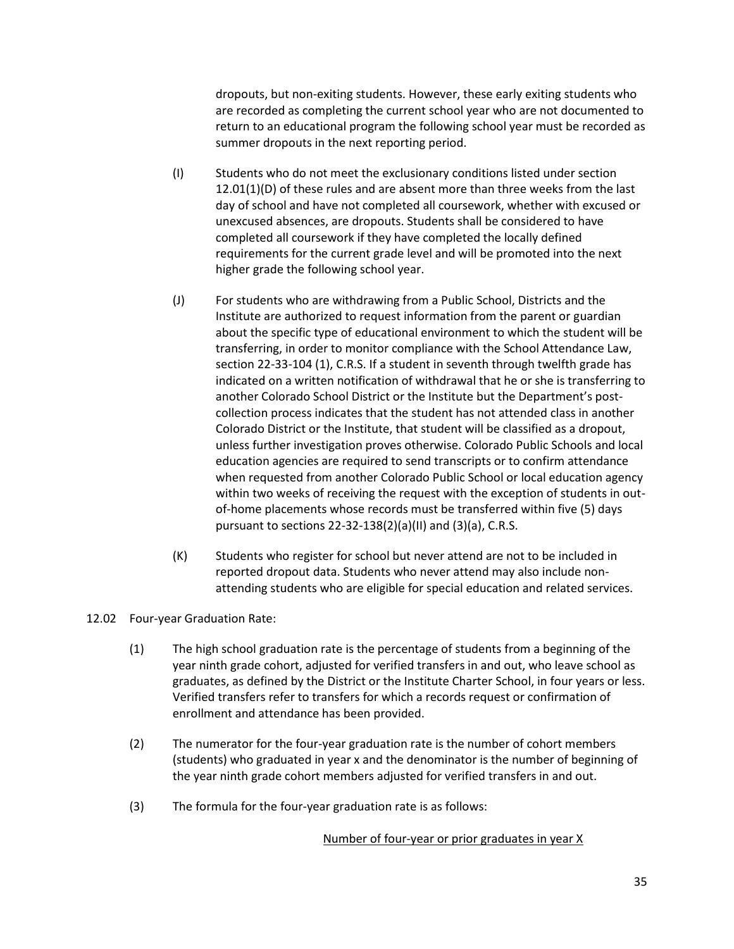dropouts, but non-exiting students. However, these early exiting students who are recorded as completing the current school year who are not documented to return to an educational program the following school year must be recorded as summer dropouts in the next reporting period.

- (I) Students who do not meet the exclusionary conditions listed under section 12.01(1)(D) of these rules and are absent more than three weeks from the last day of school and have not completed all coursework, whether with excused or unexcused absences, are dropouts. Students shall be considered to have completed all coursework if they have completed the locally defined requirements for the current grade level and will be promoted into the next higher grade the following school year.
- (J) For students who are withdrawing from a Public School, Districts and the Institute are authorized to request information from the parent or guardian about the specific type of educational environment to which the student will be transferring, in order to monitor compliance with the School Attendance Law, section 22-33-104 (1), C.R.S. If a student in seventh through twelfth grade has indicated on a written notification of withdrawal that he or she is transferring to another Colorado School District or the Institute but the Department's postcollection process indicates that the student has not attended class in another Colorado District or the Institute, that student will be classified as a dropout, unless further investigation proves otherwise. Colorado Public Schools and local education agencies are required to send transcripts or to confirm attendance when requested from another Colorado Public School or local education agency within two weeks of receiving the request with the exception of students in outof-home placements whose records must be transferred within five (5) days pursuant to sections 22-32-138(2)(a)(II) and (3)(a), C.R.S.
- (K) Students who register for school but never attend are not to be included in reported dropout data. Students who never attend may also include nonattending students who are eligible for special education and related services.

## 12.02 Four-year Graduation Rate:

- (1) The high school graduation rate is the percentage of students from a beginning of the year ninth grade cohort, adjusted for verified transfers in and out, who leave school as graduates, as defined by the District or the Institute Charter School, in four years or less. Verified transfers refer to transfers for which a records request or confirmation of enrollment and attendance has been provided.
- (2) The numerator for the four-year graduation rate is the number of cohort members (students) who graduated in year x and the denominator is the number of beginning of the year ninth grade cohort members adjusted for verified transfers in and out.
- (3) The formula for the four-year graduation rate is as follows:

Number of four-year or prior graduates in year X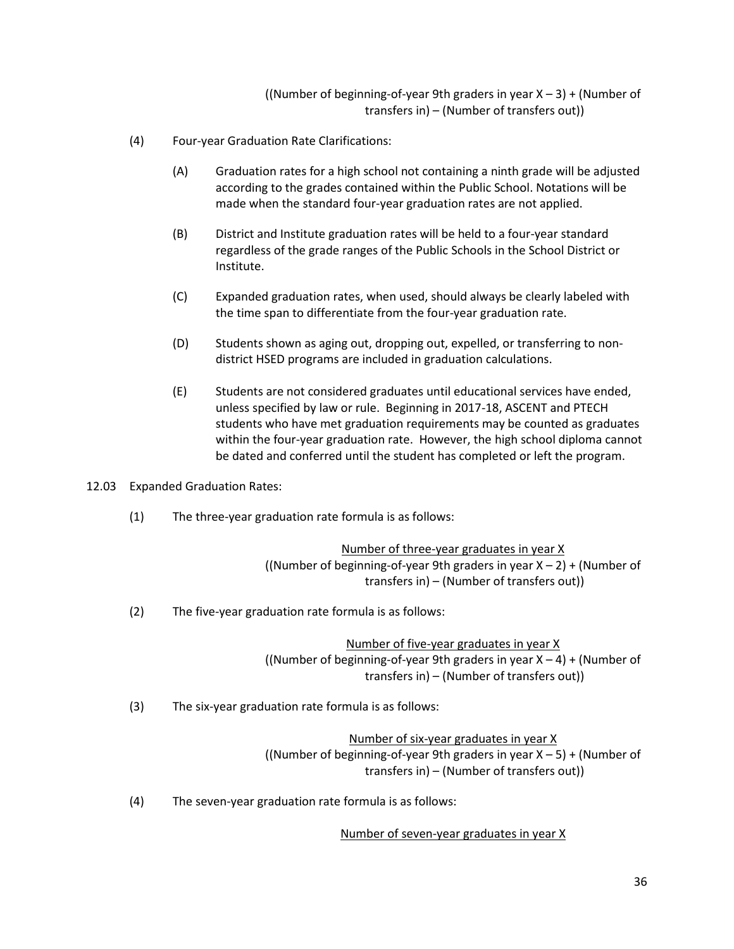((Number of beginning-of-year 9th graders in year  $X - 3$ ) + (Number of transfers in) – (Number of transfers out))

- (4) Four-year Graduation Rate Clarifications:
	- (A) Graduation rates for a high school not containing a ninth grade will be adjusted according to the grades contained within the Public School. Notations will be made when the standard four-year graduation rates are not applied.
	- (B) District and Institute graduation rates will be held to a four-year standard regardless of the grade ranges of the Public Schools in the School District or Institute.
	- (C) Expanded graduation rates, when used, should always be clearly labeled with the time span to differentiate from the four-year graduation rate.
	- (D) Students shown as aging out, dropping out, expelled, or transferring to nondistrict HSED programs are included in graduation calculations.
	- (E) Students are not considered graduates until educational services have ended, unless specified by law or rule. Beginning in 2017-18, ASCENT and PTECH students who have met graduation requirements may be counted as graduates within the four-year graduation rate. However, the high school diploma cannot be dated and conferred until the student has completed or left the program.
- 12.03 Expanded Graduation Rates:
	- (1) The three-year graduation rate formula is as follows:

Number of three-year graduates in year X ((Number of beginning-of-year 9th graders in year  $X - 2$ ) + (Number of transfers in) – (Number of transfers out))

(2) The five-year graduation rate formula is as follows:

Number of five-year graduates in year X ((Number of beginning-of-year 9th graders in year  $X - 4$ ) + (Number of transfers in) – (Number of transfers out))

(3) The six-year graduation rate formula is as follows:

Number of six-year graduates in year X ((Number of beginning-of-year 9th graders in year  $X - 5$ ) + (Number of transfers in) – (Number of transfers out))

(4) The seven-year graduation rate formula is as follows:

Number of seven-year graduates in year X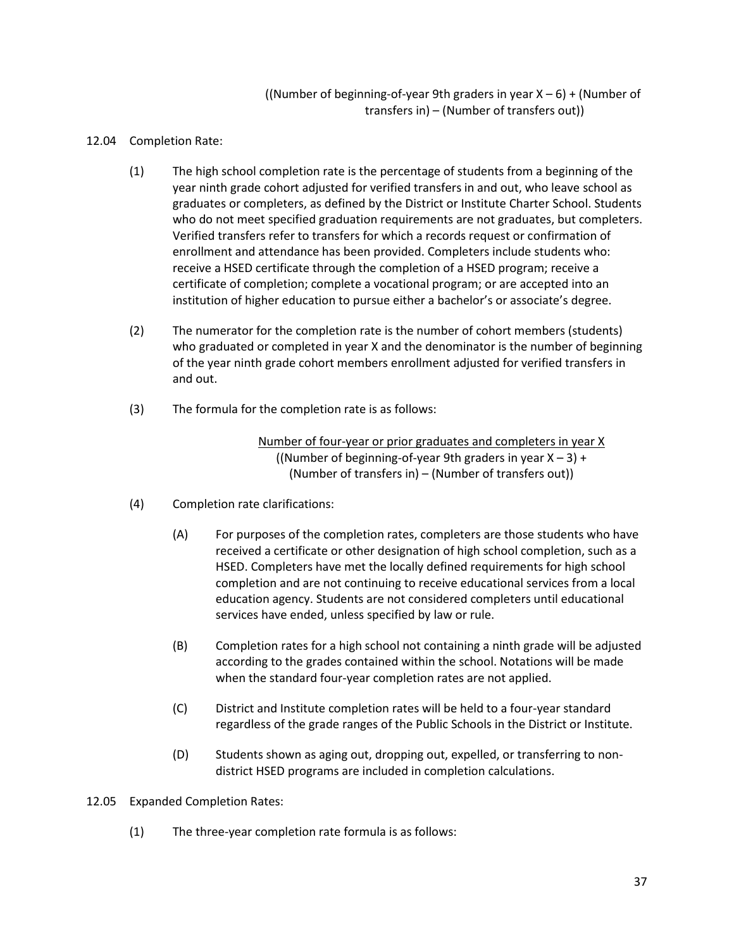# ((Number of beginning-of-year 9th graders in year  $X - 6$ ) + (Number of transfers in) – (Number of transfers out))

# 12.04 Completion Rate:

- (1) The high school completion rate is the percentage of students from a beginning of the year ninth grade cohort adjusted for verified transfers in and out, who leave school as graduates or completers, as defined by the District or Institute Charter School. Students who do not meet specified graduation requirements are not graduates, but completers. Verified transfers refer to transfers for which a records request or confirmation of enrollment and attendance has been provided. Completers include students who: receive a HSED certificate through the completion of a HSED program; receive a certificate of completion; complete a vocational program; or are accepted into an institution of higher education to pursue either a bachelor's or associate's degree.
- (2) The numerator for the completion rate is the number of cohort members (students) who graduated or completed in year X and the denominator is the number of beginning of the year ninth grade cohort members enrollment adjusted for verified transfers in and out.
- (3) The formula for the completion rate is as follows:

Number of four-year or prior graduates and completers in year X ((Number of beginning-of-year 9th graders in year  $X - 3$ ) + (Number of transfers in) – (Number of transfers out))

- (4) Completion rate clarifications:
	- (A) For purposes of the completion rates, completers are those students who have received a certificate or other designation of high school completion, such as a HSED. Completers have met the locally defined requirements for high school completion and are not continuing to receive educational services from a local education agency. Students are not considered completers until educational services have ended, unless specified by law or rule.
	- (B) Completion rates for a high school not containing a ninth grade will be adjusted according to the grades contained within the school. Notations will be made when the standard four-year completion rates are not applied.
	- (C) District and Institute completion rates will be held to a four-year standard regardless of the grade ranges of the Public Schools in the District or Institute.
	- (D) Students shown as aging out, dropping out, expelled, or transferring to nondistrict HSED programs are included in completion calculations.

#### 12.05 Expanded Completion Rates:

(1) The three-year completion rate formula is as follows: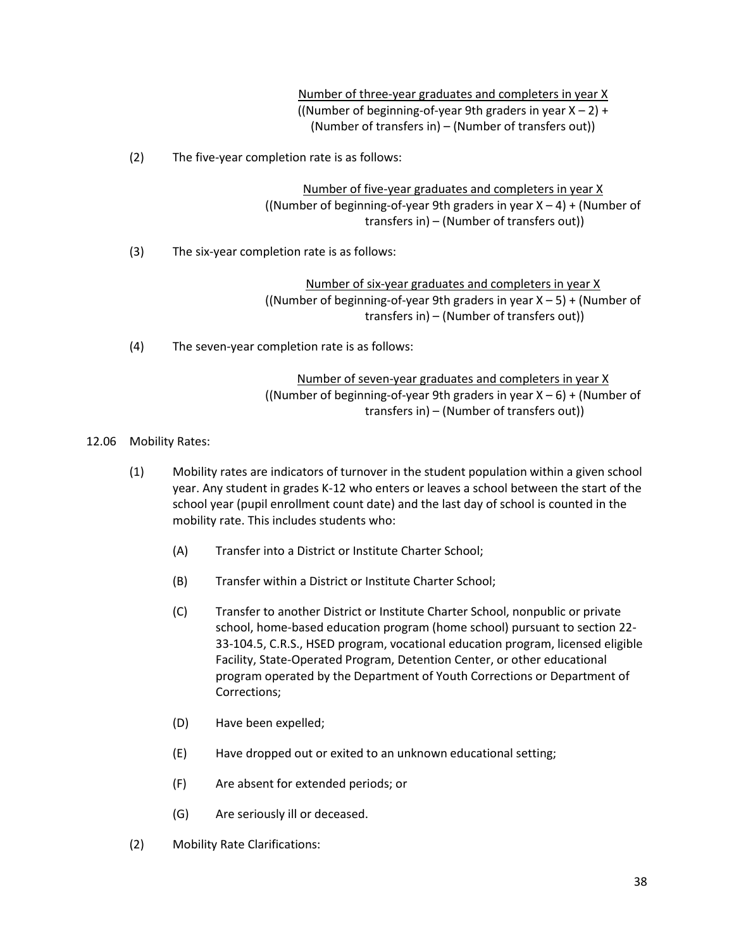Number of three-year graduates and completers in year X ((Number of beginning-of-year 9th graders in year  $X - 2$ ) +

(Number of transfers in) – (Number of transfers out))

(2) The five-year completion rate is as follows:

Number of five-year graduates and completers in year X ((Number of beginning-of-year 9th graders in year  $X - 4$ ) + (Number of transfers in) – (Number of transfers out))

(3) The six-year completion rate is as follows:

Number of six-year graduates and completers in year X ((Number of beginning-of-year 9th graders in year  $X - 5$ ) + (Number of transfers in) – (Number of transfers out))

(4) The seven-year completion rate is as follows:

Number of seven-year graduates and completers in year X ((Number of beginning-of-year 9th graders in year  $X - 6$ ) + (Number of transfers in) – (Number of transfers out))

# 12.06 Mobility Rates:

- (1) Mobility rates are indicators of turnover in the student population within a given school year. Any student in grades K-12 who enters or leaves a school between the start of the school year (pupil enrollment count date) and the last day of school is counted in the mobility rate. This includes students who:
	- (A) Transfer into a District or Institute Charter School;
	- (B) Transfer within a District or Institute Charter School;
	- (C) Transfer to another District or Institute Charter School, nonpublic or private school, home-based education program (home school) pursuant to section 22- 33-104.5, C.R.S., HSED program, vocational education program, licensed eligible Facility, State-Operated Program, Detention Center, or other educational program operated by the Department of Youth Corrections or Department of Corrections;
	- (D) Have been expelled;
	- (E) Have dropped out or exited to an unknown educational setting;
	- (F) Are absent for extended periods; or
	- (G) Are seriously ill or deceased.
- (2) Mobility Rate Clarifications: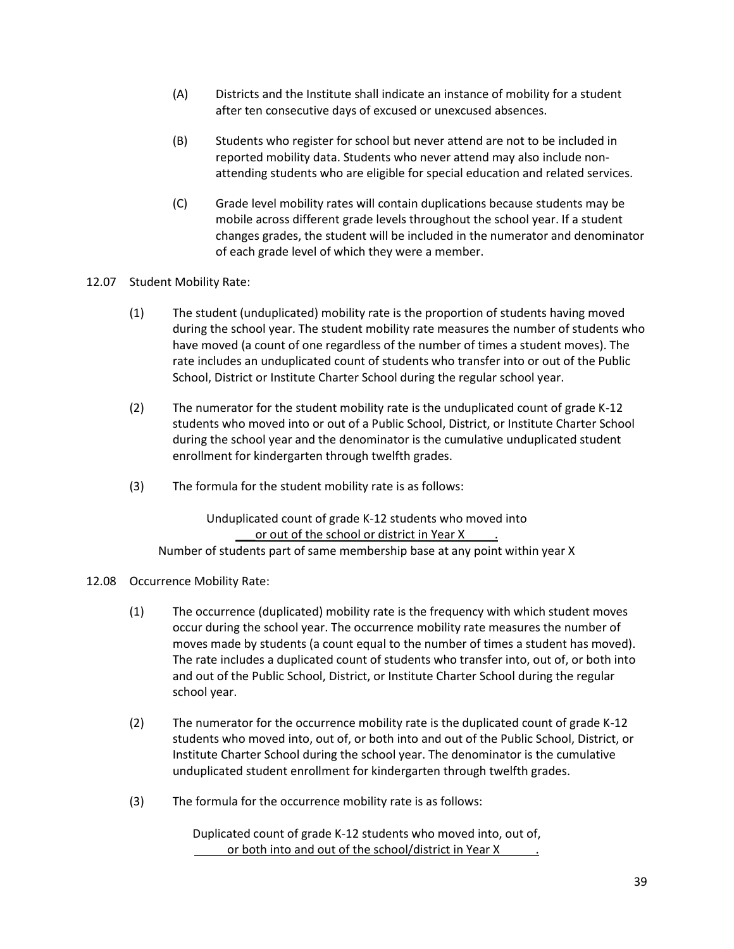- (A) Districts and the Institute shall indicate an instance of mobility for a student after ten consecutive days of excused or unexcused absences.
- (B) Students who register for school but never attend are not to be included in reported mobility data. Students who never attend may also include nonattending students who are eligible for special education and related services.
- (C) Grade level mobility rates will contain duplications because students may be mobile across different grade levels throughout the school year. If a student changes grades, the student will be included in the numerator and denominator of each grade level of which they were a member.
- 12.07 Student Mobility Rate:
	- (1) The student (unduplicated) mobility rate is the proportion of students having moved during the school year. The student mobility rate measures the number of students who have moved (a count of one regardless of the number of times a student moves). The rate includes an unduplicated count of students who transfer into or out of the Public School, District or Institute Charter School during the regular school year.
	- (2) The numerator for the student mobility rate is the unduplicated count of grade K-12 students who moved into or out of a Public School, District, or Institute Charter School during the school year and the denominator is the cumulative unduplicated student enrollment for kindergarten through twelfth grades.
	- (3) The formula for the student mobility rate is as follows:

# Unduplicated count of grade K-12 students who moved into or out of the school or district in Year X Number of students part of same membership base at any point within year X

# 12.08 Occurrence Mobility Rate:

- (1) The occurrence (duplicated) mobility rate is the frequency with which student moves occur during the school year. The occurrence mobility rate measures the number of moves made by students (a count equal to the number of times a student has moved). The rate includes a duplicated count of students who transfer into, out of, or both into and out of the Public School, District, or Institute Charter School during the regular school year.
- (2) The numerator for the occurrence mobility rate is the duplicated count of grade K-12 students who moved into, out of, or both into and out of the Public School, District, or Institute Charter School during the school year. The denominator is the cumulative unduplicated student enrollment for kindergarten through twelfth grades.
- (3) The formula for the occurrence mobility rate is as follows:

Duplicated count of grade K-12 students who moved into, out of, or both into and out of the school/district in Year X .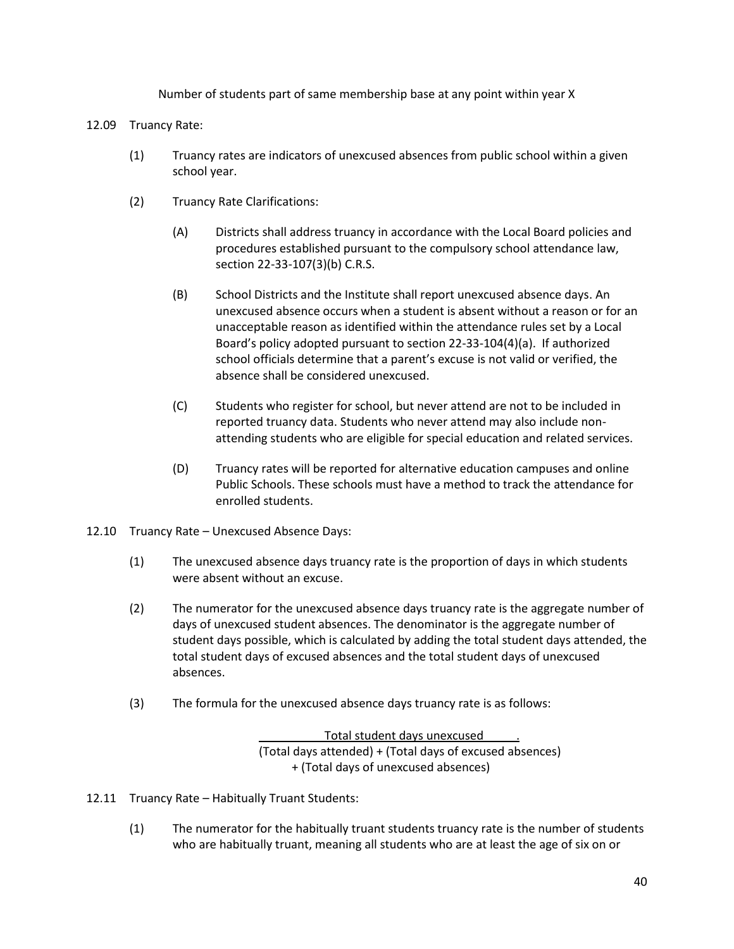Number of students part of same membership base at any point within year X

#### 12.09 Truancy Rate:

- (1) Truancy rates are indicators of unexcused absences from public school within a given school year.
- (2) Truancy Rate Clarifications:
	- (A) Districts shall address truancy in accordance with the Local Board policies and procedures established pursuant to the compulsory school attendance law, section 22-33-107(3)(b) C.R.S.
	- (B) School Districts and the Institute shall report unexcused absence days. An unexcused absence occurs when a student is absent without a reason or for an unacceptable reason as identified within the attendance rules set by a Local Board's policy adopted pursuant to section 22-33-104(4)(a). If authorized school officials determine that a parent's excuse is not valid or verified, the absence shall be considered unexcused.
	- (C) Students who register for school, but never attend are not to be included in reported truancy data. Students who never attend may also include nonattending students who are eligible for special education and related services.
	- (D) Truancy rates will be reported for alternative education campuses and online Public Schools. These schools must have a method to track the attendance for enrolled students.
- 12.10 Truancy Rate Unexcused Absence Days:
	- (1) The unexcused absence days truancy rate is the proportion of days in which students were absent without an excuse.
	- (2) The numerator for the unexcused absence days truancy rate is the aggregate number of days of unexcused student absences. The denominator is the aggregate number of student days possible, which is calculated by adding the total student days attended, the total student days of excused absences and the total student days of unexcused absences.
	- (3) The formula for the unexcused absence days truancy rate is as follows:

Total student days unexcused (Total days attended) + (Total days of excused absences) + (Total days of unexcused absences)

- 12.11 Truancy Rate Habitually Truant Students:
	- (1) The numerator for the habitually truant students truancy rate is the number of students who are habitually truant, meaning all students who are at least the age of six on or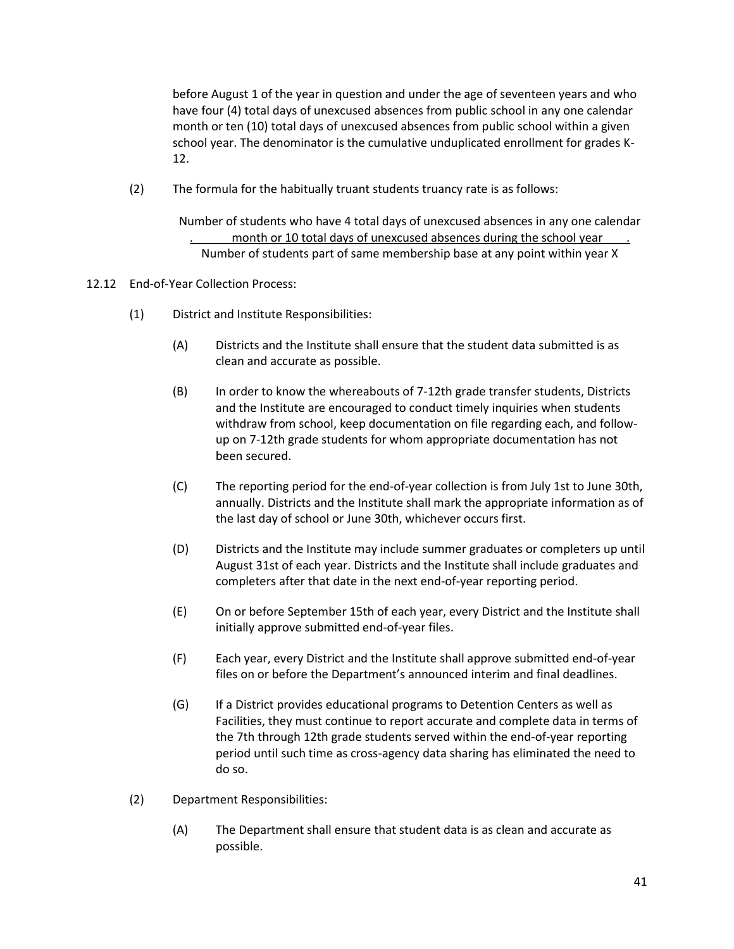before August 1 of the year in question and under the age of seventeen years and who have four (4) total days of unexcused absences from public school in any one calendar month or ten (10) total days of unexcused absences from public school within a given school year. The denominator is the cumulative unduplicated enrollment for grades K-12.

(2) The formula for the habitually truant students truancy rate is as follows:

Number of students who have 4 total days of unexcused absences in any one calendar . month or 10 total days of unexcused absences during the school year . Number of students part of same membership base at any point within year X

- 12.12 End-of-Year Collection Process:
	- (1) District and Institute Responsibilities:
		- (A) Districts and the Institute shall ensure that the student data submitted is as clean and accurate as possible.
		- (B) In order to know the whereabouts of 7-12th grade transfer students, Districts and the Institute are encouraged to conduct timely inquiries when students withdraw from school, keep documentation on file regarding each, and followup on 7-12th grade students for whom appropriate documentation has not been secured.
		- (C) The reporting period for the end-of-year collection is from July 1st to June 30th, annually. Districts and the Institute shall mark the appropriate information as of the last day of school or June 30th, whichever occurs first.
		- (D) Districts and the Institute may include summer graduates or completers up until August 31st of each year. Districts and the Institute shall include graduates and completers after that date in the next end-of-year reporting period.
		- (E) On or before September 15th of each year, every District and the Institute shall initially approve submitted end-of-year files.
		- (F) Each year, every District and the Institute shall approve submitted end-of-year files on or before the Department's announced interim and final deadlines.
		- (G) If a District provides educational programs to Detention Centers as well as Facilities, they must continue to report accurate and complete data in terms of the 7th through 12th grade students served within the end-of-year reporting period until such time as cross-agency data sharing has eliminated the need to do so.
	- (2) Department Responsibilities:
		- (A) The Department shall ensure that student data is as clean and accurate as possible.